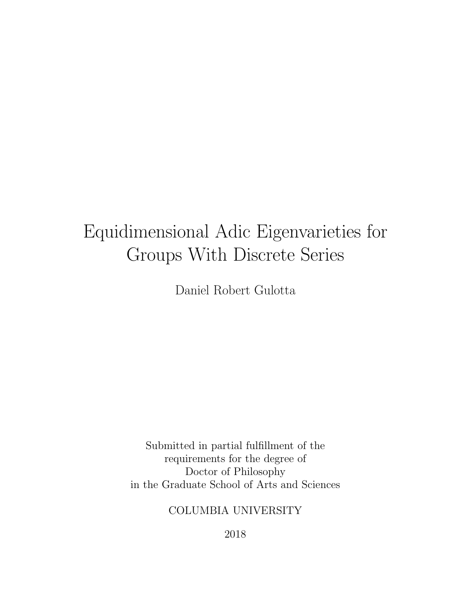# Equidimensional Adic Eigenvarieties for Groups With Discrete Series

Daniel Robert Gulotta

Submitted in partial fulfillment of the requirements for the degree of Doctor of Philosophy in the Graduate School of Arts and Sciences

## COLUMBIA UNIVERSITY

2018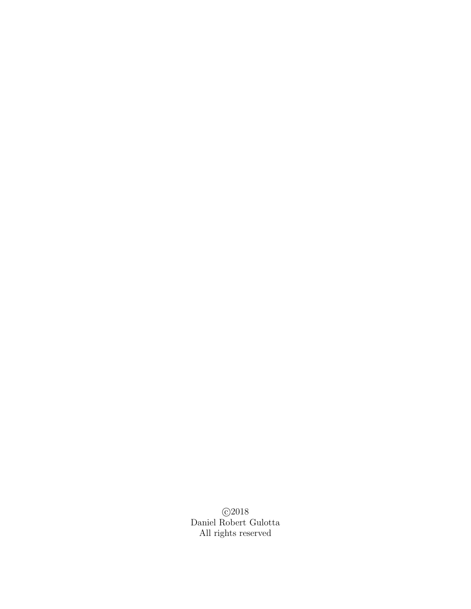c 2018 Daniel Robert Gulotta All rights reserved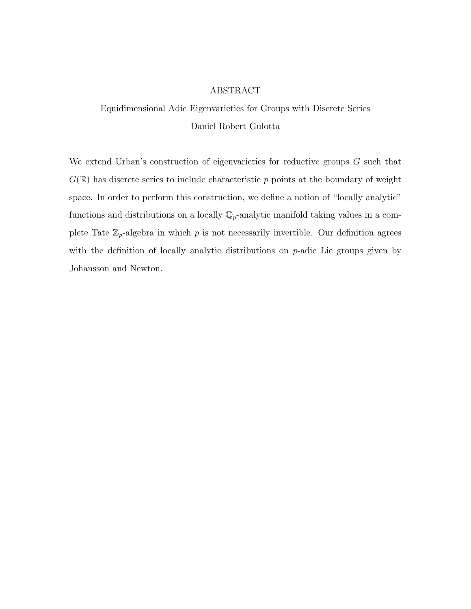#### ABSTRACT

Equidimensional Adic Eigenvarieties for Groups with Discrete Series Daniel Robert Gulotta

We extend Urban's construction of eigenvarieties for reductive groups  $G$  such that  $G(\mathbb{R})$  has discrete series to include characteristic p points at the boundary of weight space. In order to perform this construction, we define a notion of "locally analytic" functions and distributions on a locally  $\mathbb{Q}_p$ -analytic manifold taking values in a complete Tate  $\mathbb{Z}_p$ -algebra in which p is not necessarily invertible. Our definition agrees with the definition of locally analytic distributions on p-adic Lie groups given by Johansson and Newton.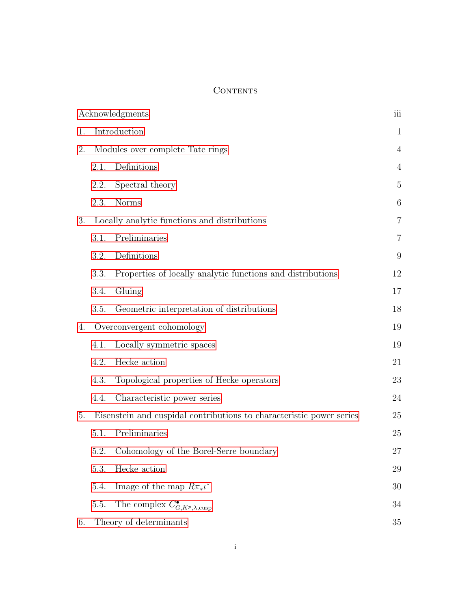### **CONTENTS**

| Acknowledgments |                                                                      |                                                            |                 |
|-----------------|----------------------------------------------------------------------|------------------------------------------------------------|-----------------|
| 1.              | Introduction                                                         |                                                            |                 |
| 2.              | Modules over complete Tate rings                                     |                                                            | $\overline{4}$  |
|                 | 2.1.                                                                 | Definitions                                                | $\overline{4}$  |
|                 | 2.2.                                                                 | Spectral theory                                            | $\overline{5}$  |
|                 | 2.3.                                                                 | <b>Norms</b>                                               | $6\phantom{.}6$ |
| 3.              | Locally analytic functions and distributions                         |                                                            | $\overline{7}$  |
|                 | 3.1.                                                                 | Preliminaries                                              | $\overline{7}$  |
|                 | 3.2.                                                                 | Definitions                                                | 9               |
|                 | 3.3.                                                                 | Properties of locally analytic functions and distributions | 12              |
|                 | 3.4.                                                                 | Gluing                                                     | 17              |
|                 | 3.5.                                                                 | Geometric interpretation of distributions                  | 18              |
| 4.              | Overconvergent cohomology                                            |                                                            | 19              |
|                 | 4.1.                                                                 | Locally symmetric spaces                                   | 19              |
|                 | 4.2.                                                                 | Hecke action                                               | 21              |
|                 | 4.3.                                                                 | Topological properties of Hecke operators                  | 23              |
|                 | 4.4.                                                                 | Characteristic power series                                | 24              |
| 5.              | Eisenstein and cuspidal contributions to characteristic power series |                                                            | 25              |
|                 | 5.1.                                                                 | Preliminaries                                              | 25              |
|                 | 5.2.                                                                 | Cohomology of the Borel-Serre boundary                     | 27              |
|                 | 5.3.                                                                 | Hecke action                                               | 29              |
|                 | 5.4.                                                                 | Image of the map $R\pi_*\iota^*$                           | 30              |
|                 | 5.5.                                                                 | The complex $C_{G, K^p, \lambda, \text{cusp}}^{\bullet}$   | 34              |
| 6.              |                                                                      | Theory of determinants                                     | 35              |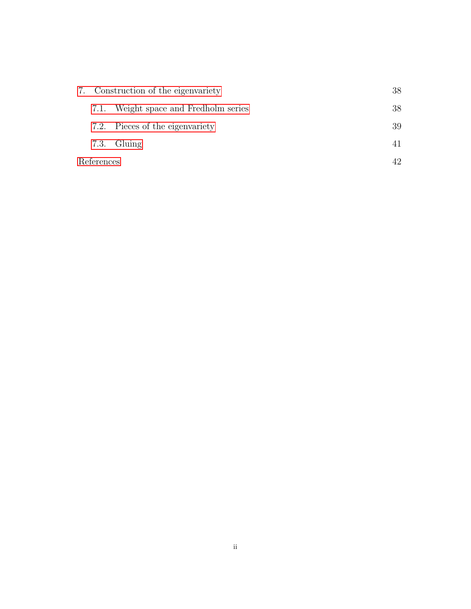|            | 7. Construction of the eigenvariety |                                       | 38 |
|------------|-------------------------------------|---------------------------------------|----|
|            |                                     | 7.1. Weight space and Fredholm series | 38 |
|            |                                     | 7.2. Pieces of the eigenvariety       | 39 |
|            |                                     | $7.3.$ Gluing                         |    |
| References |                                     |                                       |    |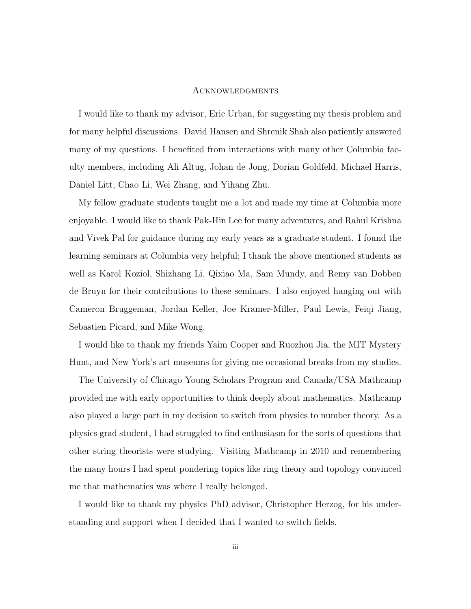#### <span id="page-5-0"></span>Acknowledgments

I would like to thank my advisor, Eric Urban, for suggesting my thesis problem and for many helpful discussions. David Hansen and Shrenik Shah also patiently answered many of my questions. I benefited from interactions with many other Columbia faculty members, including Ali Altug, Johan de Jong, Dorian Goldfeld, Michael Harris, Daniel Litt, Chao Li, Wei Zhang, and Yihang Zhu.

My fellow graduate students taught me a lot and made my time at Columbia more enjoyable. I would like to thank Pak-Hin Lee for many adventures, and Rahul Krishna and Vivek Pal for guidance during my early years as a graduate student. I found the learning seminars at Columbia very helpful; I thank the above mentioned students as well as Karol Koziol, Shizhang Li, Qixiao Ma, Sam Mundy, and Remy van Dobben de Bruyn for their contributions to these seminars. I also enjoyed hanging out with Cameron Bruggeman, Jordan Keller, Joe Kramer-Miller, Paul Lewis, Feiqi Jiang, Sebastien Picard, and Mike Wong.

I would like to thank my friends Yaim Cooper and Ruozhou Jia, the MIT Mystery Hunt, and New York's art museums for giving me occasional breaks from my studies.

The University of Chicago Young Scholars Program and Canada/USA Mathcamp provided me with early opportunities to think deeply about mathematics. Mathcamp also played a large part in my decision to switch from physics to number theory. As a physics grad student, I had struggled to find enthusiasm for the sorts of questions that other string theorists were studying. Visiting Mathcamp in 2010 and remembering the many hours I had spent pondering topics like ring theory and topology convinced me that mathematics was where I really belonged.

I would like to thank my physics PhD advisor, Christopher Herzog, for his understanding and support when I decided that I wanted to switch fields.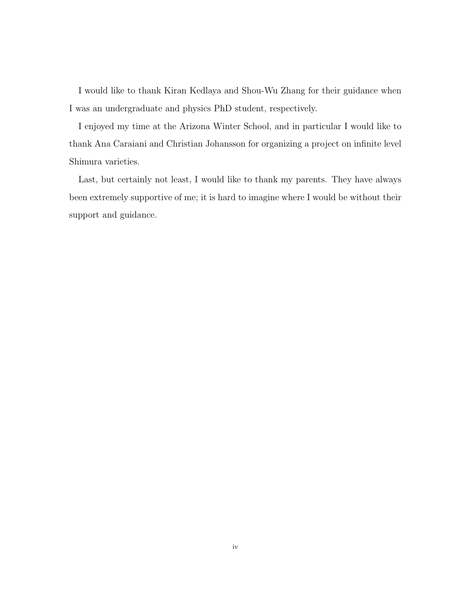I would like to thank Kiran Kedlaya and Shou-Wu Zhang for their guidance when I was an undergraduate and physics PhD student, respectively.

I enjoyed my time at the Arizona Winter School, and in particular I would like to thank Ana Caraiani and Christian Johansson for organizing a project on infinite level Shimura varieties.

Last, but certainly not least, I would like to thank my parents. They have always been extremely supportive of me; it is hard to imagine where I would be without their support and guidance.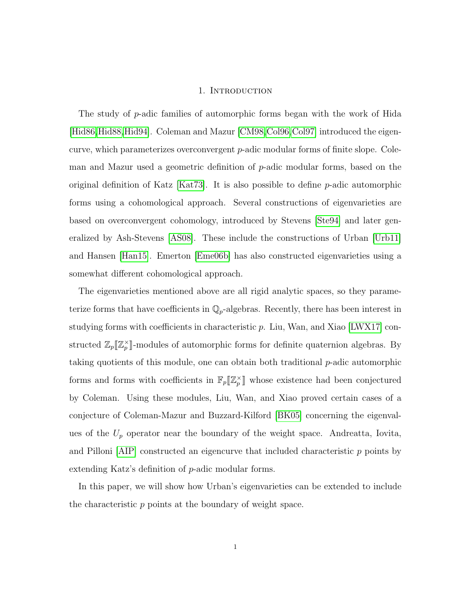#### 1. Introduction

<span id="page-7-0"></span>The study of p-adic families of automorphic forms began with the work of Hida [\[Hid86](#page-49-0)[,Hid88,](#page-49-1)[Hid94\]](#page-49-2). Coleman and Mazur [\[CM98,](#page-48-1)[Col96,](#page-48-2)[Col97\]](#page-48-3) introduced the eigencurve, which parameterizes overconvergent p-adic modular forms of finite slope. Coleman and Mazur used a geometric definition of  $p$ -adic modular forms, based on the original definition of Katz  $[Kat73]$ . It is also possible to define p-adic automorphic forms using a cohomological approach. Several constructions of eigenvarieties are based on overconvergent cohomology, introduced by Stevens [\[Ste94\]](#page-49-4) and later generalized by Ash-Stevens [\[AS08\]](#page-48-4). These include the constructions of Urban [\[Urb11\]](#page-49-5) and Hansen [\[Han15\]](#page-49-6). Emerton [\[Eme06b\]](#page-49-7) has also constructed eigenvarieties using a somewhat different cohomological approach.

The eigenvarieties mentioned above are all rigid analytic spaces, so they parameterize forms that have coefficients in  $\mathbb{Q}_p$ -algebras. Recently, there has been interest in studying forms with coefficients in characteristic  $p$ . Liu, Wan, and Xiao [\[LWX17\]](#page-49-8) constructed  $\mathbb{Z}_p[\![\mathbb{Z}_p^\times]\!]$ -modules of automorphic forms for definite quaternion algebras. By taking quotients of this module, one can obtain both traditional p-adic automorphic forms and forms with coefficients in  $\mathbb{F}_p[\![\mathbb{Z}_p^\times]\!]$  whose existence had been conjectured by Coleman. Using these modules, Liu, Wan, and Xiao proved certain cases of a conjecture of Coleman-Mazur and Buzzard-Kilford [\[BK05\]](#page-48-5) concerning the eigenvalues of the  $U_p$  operator near the boundary of the weight space. Andreatta, Iovita, and Pilloni [\[AIP\]](#page-48-6) constructed an eigencurve that included characteristic p points by extending Katz's definition of p-adic modular forms.

In this paper, we will show how Urban's eigenvarieties can be extended to include the characteristic p points at the boundary of weight space.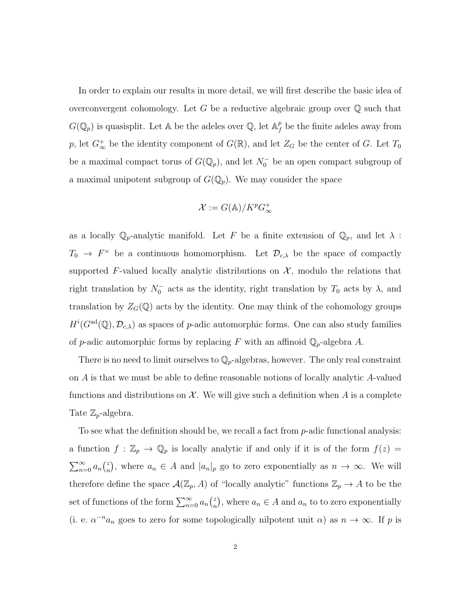In order to explain our results in more detail, we will first describe the basic idea of overconvergent cohomology. Let G be a reductive algebraic group over  $\mathbb Q$  such that  $G(\mathbb{Q}_p)$  is quasisplit. Let A be the adeles over  $\mathbb{Q}$ , let  $\mathbb{A}_f^p$  $\frac{p}{f}$  be the finite adeles away from p, let  $G_{\infty}^+$  be the identity component of  $G(\mathbb{R})$ , and let  $Z_G$  be the center of G. Let  $T_0$ be a maximal compact torus of  $G(\mathbb{Q}_p)$ , and let  $N_0^-$  be an open compact subgroup of a maximal unipotent subgroup of  $G(\mathbb{Q}_p)$ . We may consider the space

$$
\mathcal{X}:=G(\mathbb{A})/K^pG^+_{\infty}
$$

as a locally  $\mathbb{Q}_p$ -analytic manifold. Let F be a finite extension of  $\mathbb{Q}_p$ , and let  $\lambda$ :  $T_0 \to F^{\times}$  be a continuous homomorphism. Let  $\mathcal{D}_{c,\lambda}$  be the space of compactly supported F-valued locally analytic distributions on  $X$ , modulo the relations that right translation by  $N_0^-$  acts as the identity, right translation by  $T_0$  acts by  $\lambda$ , and translation by  $Z_G(\mathbb{Q})$  acts by the identity. One may think of the cohomology groups  $H^{i}(G^{\rm ad}(\mathbb{Q}), \mathcal{D}_{c,\lambda})$  as spaces of p-adic automorphic forms. One can also study families of p-adic automorphic forms by replacing F with an affinoid  $\mathbb{Q}_p$ -algebra A.

There is no need to limit ourselves to  $\mathbb{Q}_p$ -algebras, however. The only real constraint on A is that we must be able to define reasonable notions of locally analytic A-valued functions and distributions on X. We will give such a definition when A is a complete Tate  $\mathbb{Z}_p$ -algebra.

To see what the definition should be, we recall a fact from p-adic functional analysis: a function  $f : \mathbb{Z}_p \to \mathbb{Q}_p$  is locally analytic if and only if it is of the form  $f(z) =$  $\sum_{n=0}^{\infty} a_n \binom{z}{n}$  $_n^z$ , where  $a_n \in A$  and  $|a_n|_p$  go to zero exponentially as  $n \to \infty$ . We will therefore define the space  $\mathcal{A}(\mathbb{Z}_p, A)$  of "locally analytic" functions  $\mathbb{Z}_p \to A$  to be the set of functions of the form  $\sum_{n=0}^{\infty} a_n \binom{z}{n}$  $\binom{z}{n}$ , where  $a_n \in A$  and  $a_n$  to to zero exponentially (i. e.  $\alpha^{-n}a_n$  goes to zero for some topologically nilpotent unit  $\alpha$ ) as  $n \to \infty$ . If p is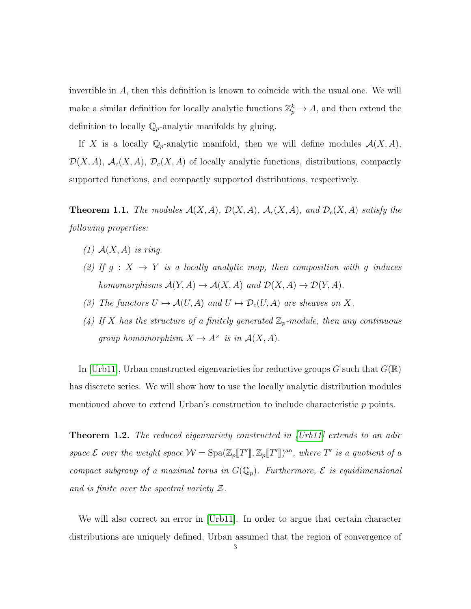invertible in A, then this definition is known to coincide with the usual one. We will make a similar definition for locally analytic functions  $\mathbb{Z}_p^k \to A$ , and then extend the definition to locally  $\mathbb{Q}_p$ -analytic manifolds by gluing.

If X is a locally  $\mathbb{Q}_p$ -analytic manifold, then we will define modules  $\mathcal{A}(X, A)$ ,  $\mathcal{D}(X, A), \mathcal{A}_c(X, A), \mathcal{D}_c(X, A)$  of locally analytic functions, distributions, compactly supported functions, and compactly supported distributions, respectively.

**Theorem 1.1.** The modules  $\mathcal{A}(X, A)$ ,  $\mathcal{D}(X, A)$ ,  $\mathcal{A}_c(X, A)$ , and  $\mathcal{D}_c(X, A)$  satisfy the following properties:

- $(1)$   $\mathcal{A}(X, A)$  is ring.
- (2) If  $g: X \to Y$  is a locally analytic map, then composition with g induces homomorphisms  $\mathcal{A}(Y, A) \to \mathcal{A}(X, A)$  and  $\mathcal{D}(X, A) \to \mathcal{D}(Y, A)$ .
- (3) The functors  $U \mapsto \mathcal{A}(U, A)$  and  $U \mapsto \mathcal{D}_c(U, A)$  are sheaves on X.
- (4) If X has the structure of a finitely generated  $\mathbb{Z}_p$ -module, then any continuous group homomorphism  $X \to A^{\times}$  is in  $\mathcal{A}(X,A)$ .

In Urb11, Urban constructed eigenvarieties for reductive groups G such that  $G(\mathbb{R})$ has discrete series. We will show how to use the locally analytic distribution modules mentioned above to extend Urban's construction to include characteristic p points.

**Theorem 1.2.** The reduced eigenvariety constructed in [\[Urb11\]](#page-49-5) extends to an adic space  $\mathcal E$  over the weight space  $\mathcal W = \text{Spa}(\mathbb Z_p[\![T']\!], \mathbb Z_p[\![T']\!])^{\text{an}}$ , where  $T'$  is a quotient of a compact subgroup of a maximal torus in  $G(\mathbb{Q}_p)$ . Furthermore,  $\mathcal E$  is equidimensional and is finite over the spectral variety Z.

We will also correct an error in [\[Urb11\]](#page-49-5). In order to argue that certain character distributions are uniquely defined, Urban assumed that the region of convergence of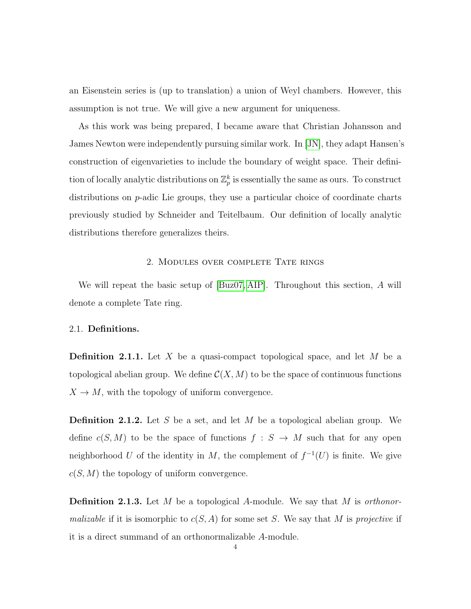an Eisenstein series is (up to translation) a union of Weyl chambers. However, this assumption is not true. We will give a new argument for uniqueness.

As this work was being prepared, I became aware that Christian Johansson and James Newton were independently pursuing similar work. In [\[JN\]](#page-49-9), they adapt Hansen's construction of eigenvarieties to include the boundary of weight space. Their definition of locally analytic distributions on  $\mathbb{Z}_p^k$  is essentially the same as ours. To construct distributions on p-adic Lie groups, they use a particular choice of coordinate charts previously studied by Schneider and Teitelbaum. Our definition of locally analytic distributions therefore generalizes theirs.

#### 2. Modules over complete Tate rings

<span id="page-10-0"></span>We will repeat the basic setup of  $[Buz07, AIP]$  $[Buz07, AIP]$ . Throughout this section, A will denote a complete Tate ring.

#### <span id="page-10-1"></span>2.1. Definitions.

**Definition 2.1.1.** Let X be a quasi-compact topological space, and let M be a topological abelian group. We define  $\mathcal{C}(X, M)$  to be the space of continuous functions  $X \to M$ , with the topology of uniform convergence.

**Definition 2.1.2.** Let S be a set, and let M be a topological abelian group. We define  $c(S, M)$  to be the space of functions  $f : S \to M$  such that for any open neighborhood U of the identity in M, the complement of  $f^{-1}(U)$  is finite. We give  $c(S, M)$  the topology of uniform convergence.

**Definition 2.1.3.** Let M be a topological A-module. We say that M is orthonor*malizable* if it is isomorphic to  $c(S, A)$  for some set S. We say that M is projective if it is a direct summand of an orthonormalizable A-module.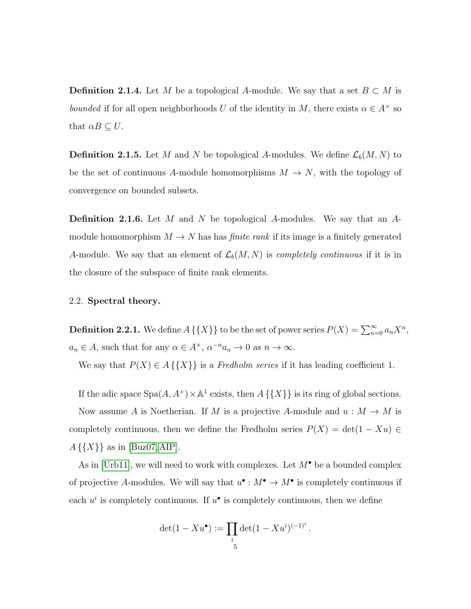**Definition 2.1.4.** Let M be a topological A-module. We say that a set  $B \subset M$  is bounded if for all open neighborhoods U of the identity in M, there exists  $\alpha \in A^{\times}$  so that  $\alpha B \subseteq U$ .

**Definition 2.1.5.** Let M and N be topological A-modules. We define  $\mathcal{L}_b(M, N)$  to be the set of continuous A-module homomorphisms  $M \to N$ , with the topology of convergence on bounded subsets.

**Definition 2.1.6.** Let M and N be topological A-modules. We say that an  $A$ module homomorphism  $M \to N$  has has *finite rank* if its image is a finitely generated A-module. We say that an element of  $\mathcal{L}_b(M, N)$  is *completely continuous* if it is in the closure of the subspace of finite rank elements.

#### <span id="page-11-0"></span>2.2. Spectral theory.

<span id="page-11-1"></span>**Definition 2.2.1.** We define  $A\{\{X\}\}\$ to be the set of power series  $P(X) = \sum_{n=0}^{\infty} a_n X^n$ ,  $a_n \in A$ , such that for any  $\alpha \in A^{\times}$ ,  $\alpha^{-n}a_n \to 0$  as  $n \to \infty$ .

We say that  $P(X) \in A \{\{X\}\}\$ is a Fredholm series if it has leading coefficient 1.

If the adic space  $Spa(A, A^+) \times \mathbb{A}^1$  exists, then  $A \{\{X\}\}\$ is its ring of global sections. Now assume A is Noetherian. If M is a projective A-module and  $u : M \to M$  is completely continuous, then we define the Fredholm series  $P(X) = \det(1 - Xu) \in$  $A\{\{X\}\}\$ as in [\[Buz07,](#page-48-7) [AIP\]](#page-48-6).

As in [\[Urb11\]](#page-49-5), we will need to work with complexes. Let  $M^{\bullet}$  be a bounded complex of projective A-modules. We will say that  $u^{\bullet}: M^{\bullet} \to M^{\bullet}$  is completely continuous if each  $u^i$  is completely continuous. If  $u^{\bullet}$  is completely continuous, then we define

$$
\det(1 - Xu^{\bullet}) := \prod_{i} \det(1 - Xu^{i})^{(-1)^{i}}.
$$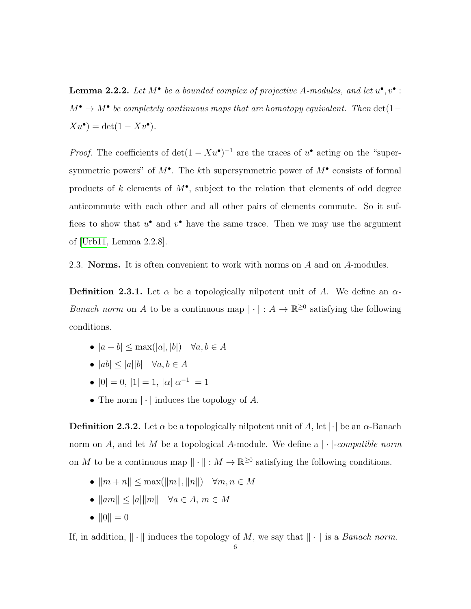**Lemma 2.2.2.** Let  $M^{\bullet}$  be a bounded complex of projective A-modules, and let  $u^{\bullet}, v^{\bullet}$ :  $M^{\bullet} \to M^{\bullet}$  be completely continuous maps that are homotopy equivalent. Then  $\det(1 Xu^{\bullet}$  = det(1 –  $Xv^{\bullet}$ ).

*Proof.* The coefficients of  $\det(1 - Xu^{\bullet})^{-1}$  are the traces of  $u^{\bullet}$  acting on the "supersymmetric powers" of  $M^{\bullet}$ . The kth supersymmetric power of  $M^{\bullet}$  consists of formal products of k elements of  $M^{\bullet}$ , subject to the relation that elements of odd degree anticommute with each other and all other pairs of elements commute. So it suffices to show that  $u^{\bullet}$  and  $v^{\bullet}$  have the same trace. Then we may use the argument of [\[Urb11,](#page-49-5) Lemma 2.2.8].

<span id="page-12-0"></span>2.3. Norms. It is often convenient to work with norms on A and on A-modules.

**Definition 2.3.1.** Let  $\alpha$  be a topologically nilpotent unit of A. We define an  $\alpha$ -*Banach norm* on A to be a continuous map  $|\cdot|: A \to \mathbb{R}^{\geq 0}$  satisfying the following conditions.

- $|a + b| \leq \max(|a|, |b|) \quad \forall a, b \in A$
- $|ab| \le |a||b|$   $\forall a, b \in A$
- $|0| = 0, |1| = 1, |\alpha||\alpha^{-1}| = 1$
- The norm  $|\cdot|$  induces the topology of A.

**Definition 2.3.2.** Let  $\alpha$  be a topologically nilpotent unit of A, let  $|\cdot|$  be an  $\alpha$ -Banach norm on A, and let M be a topological A-module. We define a  $|\cdot|$ -compatible norm on M to be a continuous map  $\|\cdot\| : M \to \mathbb{R}^{\geq 0}$  satisfying the following conditions.

- $\|m + n\| \leq \max(\|m\|, \|n\|) \quad \forall m, n \in M$
- $\|am\| \leq |a|\|m\|$   $\forall a \in A, m \in M$
- $||0|| = 0$

If, in addition,  $\|\cdot\|$  induces the topology of M, we say that  $\|\cdot\|$  is a *Banach norm*.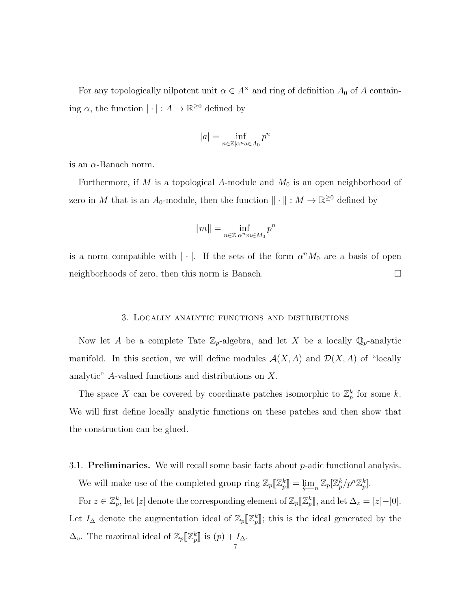For any topologically nilpotent unit  $\alpha \in A^{\times}$  and ring of definition  $A_0$  of A containing  $\alpha$ , the function  $|\cdot|: A \to \mathbb{R}^{\geq 0}$  defined by

$$
|a| = \inf_{n \in \mathbb{Z} | \alpha^n a \in A_0} p^n
$$

is an  $\alpha$ -Banach norm.

Furthermore, if  $M$  is a topological A-module and  $M_0$  is an open neighborhood of zero in M that is an  $A_0$ -module, then the function  $\|\cdot\| : M \to \mathbb{R}^{\geq 0}$  defined by

$$
||m|| = \inf_{n \in \mathbb{Z} \mid \alpha^n m \in M_0} p^n
$$

is a norm compatible with  $|\cdot|$ . If the sets of the form  $\alpha^n M_0$  are a basis of open neighborhoods of zero, then this norm is Banach.

#### 3. Locally analytic functions and distributions

<span id="page-13-0"></span>Now let A be a complete Tate  $\mathbb{Z}_p$ -algebra, and let X be a locally  $\mathbb{Q}_p$ -analytic manifold. In this section, we will define modules  $\mathcal{A}(X, A)$  and  $\mathcal{D}(X, A)$  of "locally analytic" A-valued functions and distributions on X.

The space X can be covered by coordinate patches isomorphic to  $\mathbb{Z}_p^k$  for some k. We will first define locally analytic functions on these patches and then show that the construction can be glued.

## <span id="page-13-1"></span>3.1. **Preliminaries.** We will recall some basic facts about  $p$ -adic functional analysis.

We will make use of the completed group ring  $\mathbb{Z}_p[\mathbb{Z}_p^k] = \varprojlim_n \mathbb{Z}_p[\mathbb{Z}_p^k/p^n\mathbb{Z}_p^k]$ .

For  $z \in \mathbb{Z}_p^k$ , let  $[z]$  denote the corresponding element of  $\mathbb{Z}_p[\![\mathbb{Z}_p^k]\!]$ , and let  $\Delta_z = [z] - [0]$ . Let  $I_{\Delta}$  denote the augmentation ideal of  $\mathbb{Z}_p[\![\mathbb{Z}_p^k]\!]$ ; this is the ideal generated by the  $\Delta_v$ . The maximal ideal of  $\mathbb{Z}_p[\![\mathbb{Z}_p^k]\!]$  is  $(p) + I_{\Delta}$ .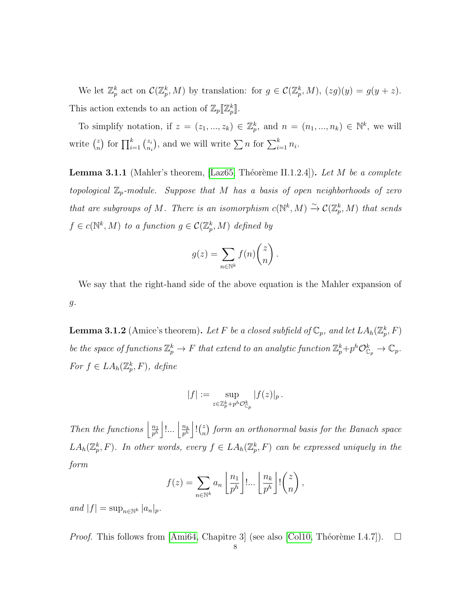We let  $\mathbb{Z}_p^k$  act on  $\mathcal{C}(\mathbb{Z}_p^k, M)$  by translation: for  $g \in \mathcal{C}(\mathbb{Z}_p^k, M)$ ,  $(zg)(y) = g(y + z)$ . This action extends to an action of  $\mathbb{Z}_p[\![\mathbb{Z}_p^k]\!]$ .

To simplify notation, if  $z = (z_1, ..., z_k) \in \mathbb{Z}_p^k$ , and  $n = (n_1, ..., n_k) \in \mathbb{N}^k$ , we will write  $\binom{z}{n}$  $\binom{z}{n}$  for  $\prod_{i=1}^k \binom{z_i}{n_i}$  $(z_i)$ , and we will write  $\sum n$  for  $\sum_{i=1}^k n_i$ .

**Lemma 3.1.1** (Mahler's theorem, [\[Laz65,](#page-49-10) Théorème II.1.2.4]). Let M be a complete topological  $\mathbb{Z}_p$ -module. Suppose that M has a basis of open neighborhoods of zero that are subgroups of M. There is an isomorphism  $c(\mathbb{N}^k, M) \xrightarrow{\sim} C(\mathbb{Z}_p^k, M)$  that sends  $f \in c(\mathbb{N}^k, M)$  to a function  $g \in \mathcal{C}(\mathbb{Z}_p^k, M)$  defined by

$$
g(z) = \sum_{n \in \mathbb{N}^k} f(n) \binom{z}{n}.
$$

We say that the right-hand side of the above equation is the Mahler expansion of  $g$ .

<span id="page-14-0"></span>**Lemma 3.1.2** (Amice's theorem). Let F be a closed subfield of  $\mathbb{C}_p$ , and let  $LA_h(\mathbb{Z}_p^k, F)$ be the space of functions  $\mathbb{Z}_p^k \to F$  that extend to an analytic function  $\mathbb{Z}_p^k+p^h\mathcal{O}_{\mathbb{C}_p}^k \to \mathbb{C}_p$ . For  $f \in LA_h(\mathbb{Z}_p^k, F)$ , define

$$
|f|:=\sup_{z\in\mathbb{Z}_p^k+p^h\mathcal{O}_{\mathbb{C}_p}^k}|f(z)|_p\,.
$$

Then the functions  $\frac{n_1}{n^h}$  $\frac{n_1}{p^h}\Big|{1\dots}\Big|\frac{n_k}{p^h}$  $\frac{n_k}{p^h}$   $\Big\vert$  ! $\Big(\frac{z}{n}$  $\binom{z}{n}$  form an orthonormal basis for the Banach space  $LA_h(\mathbb{Z}_p^k, F)$ . In other words, every  $f \in LA_h(\mathbb{Z}_p^k, F)$  can be expressed uniquely in the form

$$
f(z) = \sum_{n \in \mathbb{N}^k} a_n \left[ \frac{n_1}{p^h} \right] \dots \left[ \frac{n_k}{p^h} \right]! {z \choose n},
$$

and  $|f| = \sup_{n \in \mathbb{N}^k} |a_n|_p$ .

*Proof.* This follows from [\[Ami64,](#page-48-8) Chapitre 3] (see also [\[Col10,](#page-48-9) Théorème I.4.7]).  $\square$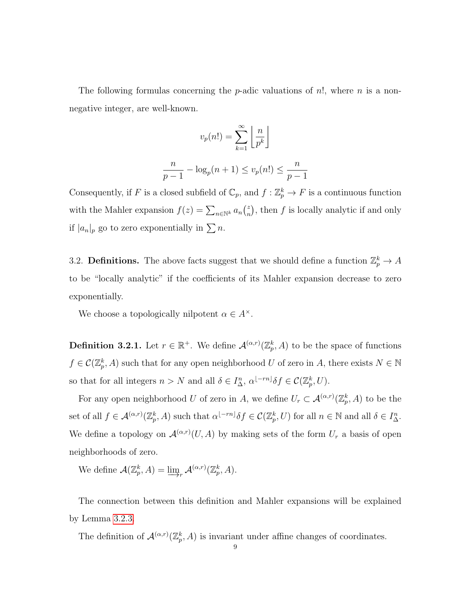The following formulas concerning the *p*-adic valuations of  $n!$ , where *n* is a nonnegative integer, are well-known.

$$
v_p(n!) = \sum_{k=1}^{\infty} \left\lfloor \frac{n}{p^k} \right\rfloor
$$

$$
\frac{n}{p-1} - \log_p(n+1) \le v_p(n!) \le \frac{n}{p-1}
$$

Consequently, if F is a closed subfield of  $\mathbb{C}_p$ , and  $f : \mathbb{Z}_p^k \to F$  is a continuous function with the Mahler expansion  $f(z) = \sum_{n \in \mathbb{N}^k} a_n \binom{z}{n}$  $\binom{z}{n}$ , then f is locally analytic if and only if  $|a_n|_p$  go to zero exponentially in  $\sum n$ .

<span id="page-15-0"></span>3.2. **Definitions.** The above facts suggest that we should define a function  $\mathbb{Z}_p^k \to A$ to be "locally analytic" if the coefficients of its Mahler expansion decrease to zero exponentially.

We choose a topologically nilpotent  $\alpha \in A^{\times}$ .

**Definition 3.2.1.** Let  $r \in \mathbb{R}^+$ . We define  $\mathcal{A}^{(\alpha,r)}(\mathbb{Z}_p^k,A)$  to be the space of functions  $f \in \mathcal{C}(\mathbb{Z}_p^k, A)$  such that for any open neighborhood U of zero in A, there exists  $N \in \mathbb{N}$ so that for all integers  $n > N$  and all  $\delta \in I_{\Delta}^n$ ,  $\alpha^{[-rn]} \delta f \in \mathcal{C}(\mathbb{Z}_p^k, U)$ .

For any open neighborhood U of zero in A, we define  $U_r \subset \mathcal{A}^{(\alpha,r)}(\mathbb{Z}_p^k,A)$  to be the set of all  $f \in \mathcal{A}^{(\alpha,r)}(\mathbb{Z}_p^k, A)$  such that  $\alpha^{[-rn]} \delta f \in \mathcal{C}(\mathbb{Z}_p^k, U)$  for all  $n \in \mathbb{N}$  and all  $\delta \in I^n_{\Delta}$ . We define a topology on  $\mathcal{A}^{(\alpha,r)}(U,\hat{A})$  by making sets of the form  $U_r$  a basis of open neighborhoods of zero.

We define  $\mathcal{A}(\mathbb{Z}_p^k, A) = \varinjlim_r \mathcal{A}^{(\alpha,r)}(\mathbb{Z}_p^k, A).$ 

The connection between this definition and Mahler expansions will be explained by Lemma [3.2.3.](#page-17-0)

The definition of  $\mathcal{A}^{(\alpha,r)}(\mathbb{Z}_p^k,A)$  is invariant under affine changes of coordinates.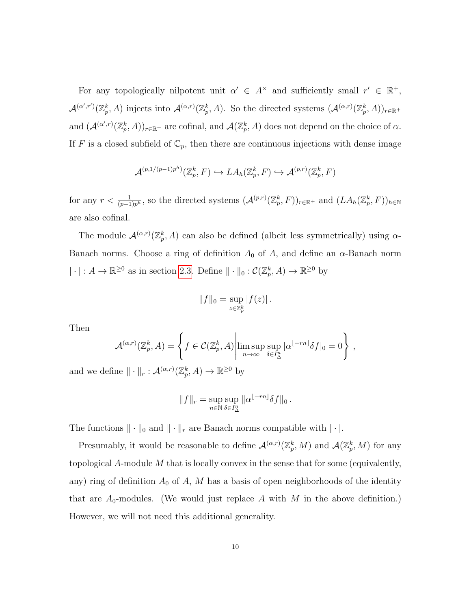For any topologically nilpotent unit  $\alpha' \in A^{\times}$  and sufficiently small  $r' \in \mathbb{R}^+,$  $\mathcal{A}^{(\alpha',r')}(\mathbb{Z}_p^k,A)$  injects into  $\mathcal{A}^{(\alpha,r)}(\mathbb{Z}_p^k,A)$ . So the directed systems  $(\mathcal{A}^{(\alpha,r)}(\mathbb{Z}_p^k,A))_{r\in\mathbb{R}^+}$ and  $(\mathcal{A}^{(\alpha',r)}(\mathbb{Z}_p^k,A))_{r\in\mathbb{R}^+}$  are cofinal, and  $\mathcal{A}(\mathbb{Z}_p^k,A)$  does not depend on the choice of  $\alpha$ . If F is a closed subfield of  $\mathbb{C}_p$ , then there are continuous injections with dense image

$$
\mathcal{A}^{(p,1/(p-1)p^h)}(\mathbb{Z}_p^k, F) \hookrightarrow LA_h(\mathbb{Z}_p^k, F) \hookrightarrow \mathcal{A}^{(p,r)}(\mathbb{Z}_p^k, F)
$$

for any  $r < \frac{1}{(p-1)p^h}$ , so the directed systems  $(\mathcal{A}^{(p,r)}(\mathbb{Z}_p^k, F))_{r \in \mathbb{R}^+}$  and  $(LA_h(\mathbb{Z}_p^k, F))_{h \in \mathbb{N}}$ are also cofinal.

The module  $\mathcal{A}^{(\alpha,r)}(\mathbb{Z}_p^k,A)$  can also be defined (albeit less symmetrically) using  $\alpha$ -Banach norms. Choose a ring of definition  $A_0$  of A, and define an  $\alpha$ -Banach norm  $|\cdot|: A \to \mathbb{R}^{\geq 0}$  as in section [2.3.](#page-12-0) Define  $\|\cdot\|_0: C(\mathbb{Z}_p^k, A) \to \mathbb{R}^{\geq 0}$  by

$$
||f||_0 = \sup_{z \in \mathbb{Z}_p^k} |f(z)|.
$$

Then

$$
\mathcal{A}^{(\alpha,r)}(\mathbb{Z}_p^k, A) = \left\{ f \in \mathcal{C}(\mathbb{Z}_p^k, A) \middle| \limsup_{n \to \infty} \sup_{\delta \in I_{\Delta}^n} |\alpha|^{-rn} \delta f|_0 = 0 \right\},\,
$$

and we define  $\|\cdot\|_r : \mathcal{A}^{(\alpha,r)}(\mathbb{Z}_p^k, A) \to \mathbb{R}^{\geq 0}$  by

$$
||f||_r = \sup_{n \in \mathbb{N}} \sup_{\delta \in I_{\Delta}^n} ||\alpha|^{-rn} \delta f||_0.
$$

The functions  $\|\cdot\|_0$  and  $\|\cdot\|_r$  are Banach norms compatible with  $|\cdot|$ .

Presumably, it would be reasonable to define  $\mathcal{A}^{(\alpha,r)}(\mathbb{Z}_p^k,M)$  and  $\mathcal{A}(\mathbb{Z}_p^k,M)$  for any topological A-module M that is locally convex in the sense that for some (equivalently, any) ring of definition  $A_0$  of  $A$ ,  $M$  has a basis of open neighborhoods of the identity that are  $A_0$ -modules. (We would just replace A with M in the above definition.) However, we will not need this additional generality.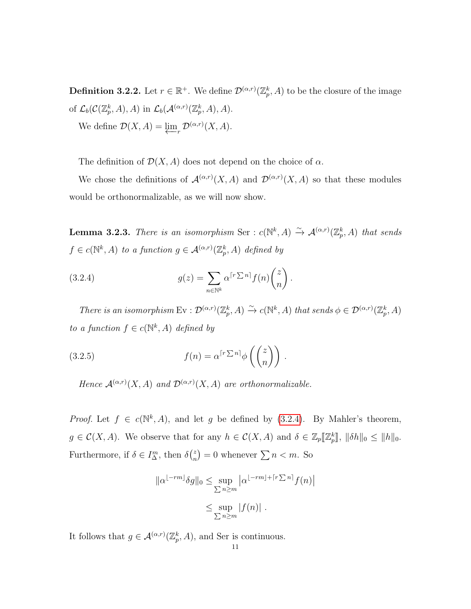**Definition 3.2.2.** Let  $r \in \mathbb{R}^+$ . We define  $\mathcal{D}^{(\alpha,r)}(\mathbb{Z}_p^k, A)$  to be the closure of the image of  $\mathcal{L}_b(\mathcal{C}(\mathbb{Z}_p^k, A), A)$  in  $\mathcal{L}_b(\mathcal{A}^{(\alpha,r)}(\mathbb{Z}_p^k, A), A)$ . We define  $\mathcal{D}(X, A) = \varprojlim_{r} \mathcal{D}^{(\alpha,r)}(X, A)$ .

The definition of  $\mathcal{D}(X, A)$  does not depend on the choice of  $\alpha$ .

We chose the definitions of  $\mathcal{A}^{(\alpha,r)}(X,A)$  and  $\mathcal{D}^{(\alpha,r)}(X,A)$  so that these modules would be orthonormalizable, as we will now show.

<span id="page-17-0"></span>**Lemma 3.2.3.** There is an isomorphism Ser :  $c(\mathbb{N}^k, A) \xrightarrow{\sim} \mathcal{A}^{(\alpha,r)}(\mathbb{Z}_p^k, A)$  that sends  $f \in c(\mathbb{N}^k, A)$  to a function  $g \in \mathcal{A}^{(\alpha,r)}(\mathbb{Z}_p^k, A)$  defined by

<span id="page-17-1"></span>(3.2.4) 
$$
g(z) = \sum_{n \in \mathbb{N}^k} \alpha^{\lceil r \sum n \rceil} f(n) \binom{z}{n}.
$$

There is an isomorphism  $Ev : \mathcal{D}^{(\alpha,r)}(\mathbb{Z}_p^k, A) \xrightarrow{\sim} c(\mathbb{N}^k, A)$  that sends  $\phi \in \mathcal{D}^{(\alpha,r)}(\mathbb{Z}_p^k, A)$ to a function  $f \in c(\mathbb{N}^k, A)$  defined by

(3.2.5) 
$$
f(n) = \alpha^{\lceil r \sum n \rceil} \phi\left(\binom{z}{n}\right).
$$

Hence  $\mathcal{A}^{(\alpha,r)}(X,A)$  and  $\mathcal{D}^{(\alpha,r)}(X,A)$  are orthonormalizable.

*Proof.* Let  $f \in c(\mathbb{N}^k, A)$ , and let g be defined by [\(3.2.4\)](#page-17-1). By Mahler's theorem,  $g \in \mathcal{C}(X, A)$ . We observe that for any  $h \in \mathcal{C}(X, A)$  and  $\delta \in \mathbb{Z}_p[\![\mathbb{Z}_p^k]\!]$ ,  $\|\delta h\|_0 \leq \|h\|_0$ . Furthermore, if  $\delta \in I_{\Delta}^{m}$ , then  $\delta {z \choose m}$  $n \choose n$  = 0 whenever  $\sum n < m$ . So

$$
\|\alpha^{[-rm]} \delta g\|_{0} \leq \sup_{\sum n \geq m} |\alpha^{[-rm] + \lceil r \sum n \rceil} f(n)|
$$
  

$$
\leq \sup_{\sum n \geq m} |f(n)|.
$$

It follows that  $g \in \mathcal{A}^{(\alpha,r)}(\mathbb{Z}_p^k, A)$ , and Ser is continuous.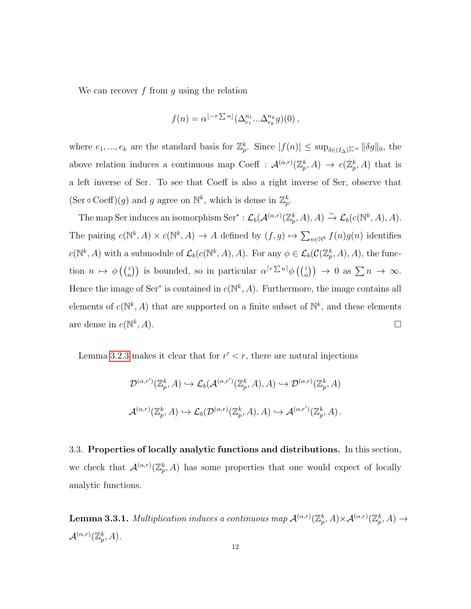We can recover  $f$  from  $g$  using the relation

$$
f(n) = \alpha^{\lfloor -r\sum n\rfloor}(\Delta_{e_1}^{n_1}...\Delta_{e_k}^{n_k}g)(0),
$$

where  $e_1, ..., e_k$  are the standard basis for  $\mathbb{Z}_p^k$ . Since  $|f(n)| \leq \sup_{\delta \in (I_\Delta) \Sigma^n} ||\delta g||_0$ , the above relation induces a continuous map Coeff :  $\mathcal{A}^{(\alpha,r)}(\mathbb{Z}_p^k,A) \to c(\mathbb{Z}_p^k,A)$  that is a left inverse of Ser. To see that Coeff is also a right inverse of Ser, observe that  $(\text{Ser } \circ \text{Coeff})(g)$  and g agree on  $\mathbb{N}^k$ , which is dense in  $\mathbb{Z}_p^k$ .

The map Ser induces an isomorphism Ser<sup>\*</sup>:  $\mathcal{L}_b(\mathcal{A}^{(\alpha,r)}(\mathbb{Z}_p^k,A),A) \xrightarrow{\sim} \mathcal{L}_b(c(\mathbb{N}^k,A),A).$ The pairing  $c(\mathbb{N}^k, A) \times c(\mathbb{N}^k, A) \to A$  defined by  $(f, g) \mapsto \sum_{n \in \mathbb{N}^k} f(n)g(n)$  identifies  $c(\mathbb{N}^k, A)$  with a submodule of  $\mathcal{L}_b(c(\mathbb{N}^k, A), A)$ . For any  $\phi \in \mathcal{L}_b(c(\mathbb{Z}_p^k, A), A)$ , the function  $n \mapsto \phi\left(\binom{z}{n}\right)$  is bounded, so in particular  $\alpha^{r\sum n} \phi\left(\binom{z}{n}\right) \to 0$  as  $\sum n \to \infty$ . Hence the image of Ser<sup>\*</sup> is contained in  $c(\mathbb{N}^k, A)$ . Furthermore, the image contains all elements of  $c(\mathbb{N}^k, A)$  that are supported on a finite subset of  $\mathbb{N}^k$ , and these elements are dense in  $c(\mathbb{N}^k)$  $, A$ ).

Lemma [3.2.3](#page-17-0) makes it clear that for  $r' < r$ , there are natural injections

$$
\mathcal{D}^{(\alpha,r')}(\mathbb{Z}_p^k, A) \hookrightarrow \mathcal{L}_b(\mathcal{A}^{(\alpha,r')}(\mathbb{Z}_p^k, A), A) \hookrightarrow \mathcal{D}^{(\alpha,r)}(\mathbb{Z}_p^k, A)
$$
  

$$
\mathcal{A}^{(\alpha,r)}(\mathbb{Z}_p^k, A) \hookrightarrow \mathcal{L}_b(\mathcal{D}^{(\alpha,r)}(\mathbb{Z}_p^k, A), A) \hookrightarrow \mathcal{A}^{(\alpha,r')}(\mathbb{Z}_p^k, A).
$$

<span id="page-18-0"></span>3.3. Properties of locally analytic functions and distributions. In this section, we check that  $\mathcal{A}^{(\alpha,r)}(\mathbb{Z}_p^k,A)$  has some properties that one would expect of locally analytic functions.

<span id="page-18-1"></span>**Lemma 3.3.1.** Multiplication induces a continuous map  $\mathcal{A}^{(\alpha,r)}(\mathbb{Z}_p^k,A)\times \mathcal{A}^{(\alpha,r)}(\mathbb{Z}_p^k,A)\to$  $\mathcal{A}^{(\alpha,r)}(\mathbb{Z}_p^k,A).$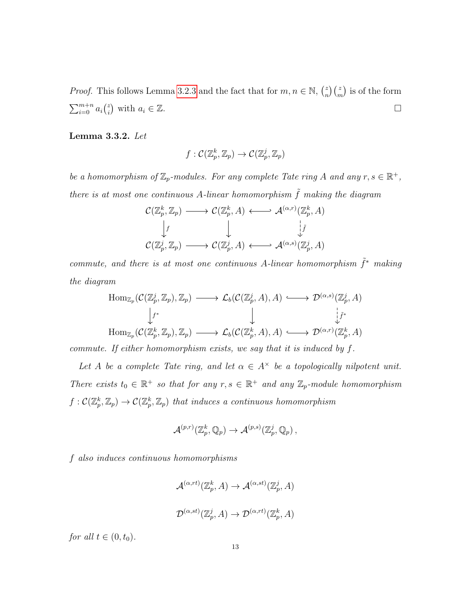*Proof.* This follows Lemma [3.2.3](#page-17-0) and the fact that for  $m, n \in \mathbb{N}$ ,  $\binom{z}{n}$  $\binom{z}{n}$  is of the form  $\sum_{i=0}^{m+n} a_i \binom{z}{i}$  $\binom{z}{i}$  with  $a_i \in \mathbb{Z}$ .

<span id="page-19-0"></span>Lemma 3.3.2. Let

$$
f: \mathcal{C}(\mathbb{Z}_p^k, \mathbb{Z}_p) \to \mathcal{C}(\mathbb{Z}_p^j, \mathbb{Z}_p)
$$

be a homomorphism of  $\mathbb{Z}_p$ -modules. For any complete Tate ring A and any  $r, s \in \mathbb{R}^+$ , there is at most one continuous A-linear homomorphism  $\tilde{f}$  making the diagram

$$
\mathcal{C}(\mathbb{Z}_p^k, \mathbb{Z}_p) \longrightarrow \mathcal{C}(\mathbb{Z}_p^k, A) \longleftrightarrow \mathcal{A}^{(\alpha, r)}(\mathbb{Z}_p^k, A)
$$
  

$$
\downarrow f \qquad \qquad \downarrow \qquad \qquad \downarrow f
$$
  

$$
\mathcal{C}(\mathbb{Z}_p^j, \mathbb{Z}_p) \longrightarrow \mathcal{C}(\mathbb{Z}_p^j, A) \longleftrightarrow \mathcal{A}^{(\alpha, s)}(\mathbb{Z}_p^j, A)
$$

commute, and there is at most one continuous A-linear homomorphism  $\tilde{f}^*$  making the diagram

$$
\text{Hom}_{\mathbb{Z}_p}(\mathcal{C}(\mathbb{Z}_p^j, \mathbb{Z}_p), \mathbb{Z}_p) \longrightarrow \mathcal{L}_b(\mathcal{C}(\mathbb{Z}_p^j, A), A) \longrightarrow \mathcal{D}^{(\alpha, s)}(\mathbb{Z}_p^j, A)
$$
\n
$$
\downarrow^{f^*} \qquad \qquad \downarrow \qquad \qquad \downarrow^{f^*}
$$
\n
$$
\text{Hom}_{\mathbb{Z}_p}(\mathcal{C}(\mathbb{Z}_p^k, \mathbb{Z}_p), \mathbb{Z}_p) \longrightarrow \mathcal{L}_b(\mathcal{C}(\mathbb{Z}_p^k, A), A) \longrightarrow \mathcal{D}^{(\alpha, r)}(\mathbb{Z}_p^k, A)
$$

commute. If either homomorphism exists, we say that it is induced by f.

Let A be a complete Tate ring, and let  $\alpha \in A^{\times}$  be a topologically nilpotent unit. There exists  $t_0 \in \mathbb{R}^+$  so that for any  $r, s \in \mathbb{R}^+$  and any  $\mathbb{Z}_p$ -module homomorphism  $f: \mathcal{C}(\mathbb{Z}_p^k, \mathbb{Z}_p) \to \mathcal{C}(\mathbb{Z}_p^k, \mathbb{Z}_p)$  that induces a continuous homomorphism

$$
\mathcal{A}^{(p,r)}(\mathbb{Z}_p^k,\mathbb{Q}_p)\rightarrow \mathcal{A}^{(p,s)}(\mathbb{Z}_p^j,\mathbb{Q}_p)\,,
$$

f also induces continuous homomorphisms

$$
\mathcal{A}^{(\alpha,rt)}(\mathbb{Z}_p^k, A) \to \mathcal{A}^{(\alpha,st)}(\mathbb{Z}_p^j, A)
$$
  

$$
\mathcal{D}^{(\alpha,st)}(\mathbb{Z}_p^j, A) \to \mathcal{D}^{(\alpha,rt)}(\mathbb{Z}_p^k, A)
$$

for all  $t \in (0, t_0)$ .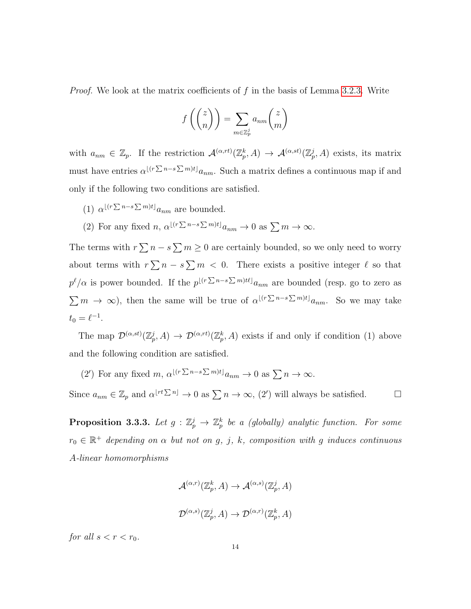*Proof.* We look at the matrix coefficients of f in the basis of Lemma [3.2.3.](#page-17-0) Write

$$
f\left(\binom{z}{n}\right) = \sum_{m \in \mathbb{Z}_p^j} a_{nm} \binom{z}{m}
$$

with  $a_{nm} \in \mathbb{Z}_p$ . If the restriction  $\mathcal{A}^{(\alpha,r)}(\mathbb{Z}_p^k,A) \to \mathcal{A}^{(\alpha,st)}(\mathbb{Z}_p^j,A)$  exists, its matrix must have entries  $\alpha^{\lfloor (r \sum n - s \sum m)t \rfloor} a_{nm}$ . Such a matrix defines a continuous map if and only if the following two conditions are satisfied.

- (1)  $\alpha^{\lfloor (r \sum n s \sum m)t \rfloor} a_{nm}$  are bounded.
- (2) For any fixed  $n, \alpha^{\lfloor (r \sum n s \sum m)t \rfloor} a_{nm} \to 0$  as  $\sum m \to \infty$ .

The terms with  $r \sum n - s \sum m \geq 0$  are certainly bounded, so we only need to worry about terms with  $r \sum n - s \sum m < 0$ . There exists a positive integer  $\ell$  so that  $p^{\ell}/\alpha$  is power bounded. If the  $p^{\lfloor (r \sum n - s \sum m)t\ell \rfloor} a_{nm}$  are bounded (resp. go to zero as  $\sum_{m \to \infty}$ , then the same will be true of  $\alpha^{\lfloor (r \sum n - s \sum m)t \rfloor} a_{nm}$ . So we may take  $t_0 = \ell^{-1}.$ 

The map  $\mathcal{D}^{(\alpha,st)}(\mathbb{Z}_p^j,A) \to \mathcal{D}^{(\alpha,rt)}(\mathbb{Z}_p^k,A)$  exists if and only if condition (1) above and the following condition are satisfied.

(2') For any fixed  $m, \alpha^{\lfloor (r \sum n - s \sum m)t \rfloor} a_{nm} \to 0$  as  $\sum n \to \infty$ .

Since  $a_{nm} \in \mathbb{Z}_p$  and  $\alpha^{\lfloor rt \sum n \rfloor} \to 0$  as  $\sum n \to \infty$ ,  $(2')$  will always be satisfied.

<span id="page-20-0"></span>**Proposition 3.3.3.** Let  $g : \mathbb{Z}_p^j \to \mathbb{Z}_p^k$  be a (globally) analytic function. For some  $r_0 \in \mathbb{R}^+$  depending on  $\alpha$  but not on g, j, k, composition with g induces continuous A-linear homomorphisms

$$
\mathcal{A}^{(\alpha,r)}(\mathbb{Z}_p^k, A) \to \mathcal{A}^{(\alpha,s)}(\mathbb{Z}_p^j, A)
$$
  

$$
\mathcal{D}^{(\alpha,s)}(\mathbb{Z}_p^j, A) \to \mathcal{D}^{(\alpha,r)}(\mathbb{Z}_p^k, A)
$$

for all  $s < r < r_0$ .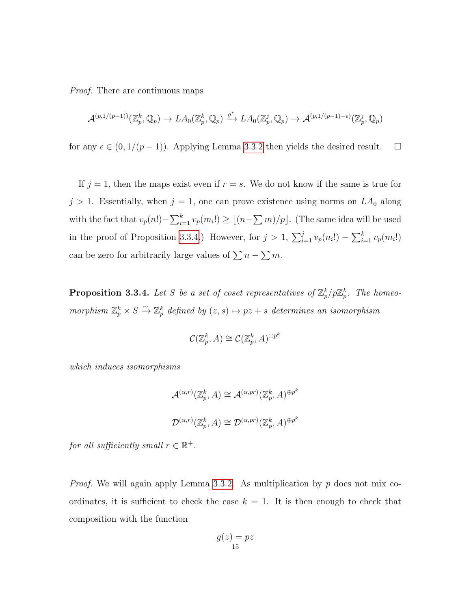Proof. There are continuous maps

$$
\mathcal{A}^{(p,1/(p-1))}(\mathbb{Z}_p^k,\mathbb{Q}_p)\to LA_0(\mathbb{Z}_p^k,\mathbb{Q}_p)\xrightarrow{g^*} LA_0(\mathbb{Z}_p^j,\mathbb{Q}_p)\to \mathcal{A}^{(p,1/(p-1)-\epsilon)}(\mathbb{Z}_p^j,\mathbb{Q}_p)
$$

for any  $\epsilon \in (0, 1/(p-1))$ . Applying Lemma [3.3.2](#page-19-0) then yields the desired result. □

If  $j = 1$ , then the maps exist even if  $r = s$ . We do not know if the same is true for  $j > 1$ . Essentially, when  $j = 1$ , one can prove existence using norms on  $LA_0$  along with the fact that  $v_p(n!) - \sum_{i=1}^k v_p(m_i!) \ge \lfloor (n - \sum m)/p \rfloor$ . (The same idea will be used in the proof of Proposition [3.3.4.](#page-21-0)) However, for  $j > 1$ ,  $\sum_{i=1}^{j} v_p(n_i!) - \sum_{i=1}^{k} v_p(m_i!)$ can be zero for arbitrarily large values of  $\sum n - \sum m$ .

<span id="page-21-0"></span>**Proposition 3.3.4.** Let S be a set of coset representatives of  $\mathbb{Z}_p^k/p\mathbb{Z}_p^k$ . The homeomorphism  $\mathbb{Z}_p^k \times S \xrightarrow{\sim} \mathbb{Z}_p^k$  defined by  $(z, s) \mapsto pz + s$  determines an isomorphism

$$
\mathcal{C}(\mathbb{Z}_p^k, A) \cong \mathcal{C}(\mathbb{Z}_p^k, A)^{\oplus p^k}
$$

which induces isomorphisms

$$
\mathcal{A}^{(\alpha,r)}(\mathbb{Z}_p^k, A) \cong \mathcal{A}^{(\alpha, pr)}(\mathbb{Z}_p^k, A)^{\oplus p^k}
$$
  

$$
\mathcal{D}^{(\alpha,r)}(\mathbb{Z}_p^k, A) \cong \mathcal{D}^{(\alpha, pr)}(\mathbb{Z}_p^k, A)^{\oplus p^k}
$$

for all sufficiently small  $r \in \mathbb{R}^+$ .

*Proof.* We will again apply Lemma [3.3.2.](#page-19-0) As multiplication by  $p$  does not mix coordinates, it is sufficient to check the case  $k = 1$ . It is then enough to check that composition with the function

$$
g(z) = pz
$$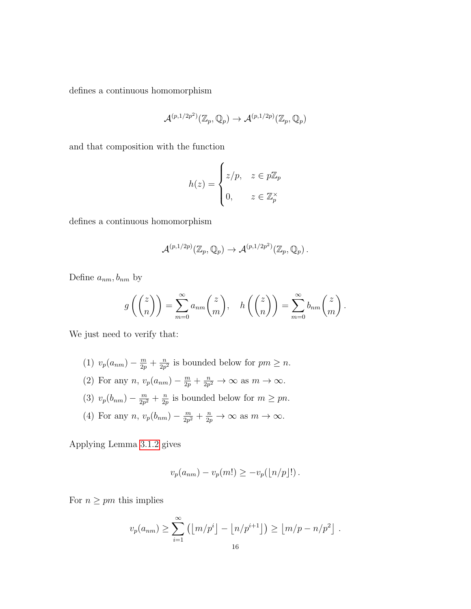defines a continuous homomorphism

$$
\mathcal{A}^{(p,1/2p^2)}(\mathbb{Z}_p,\mathbb{Q}_p)\rightarrow \mathcal{A}^{(p,1/2p)}(\mathbb{Z}_p,\mathbb{Q}_p)
$$

and that composition with the function

$$
h(z) = \begin{cases} z/p, & z \in p\mathbb{Z}_p \\ 0, & z \in \mathbb{Z}_p^{\times} \end{cases}
$$

defines a continuous homomorphism

$$
\mathcal{A}^{(p,1/2p)}(\mathbb{Z}_p,\mathbb{Q}_p)\rightarrow \mathcal{A}^{(p,1/2p^2)}(\mathbb{Z}_p,\mathbb{Q}_p)\,.
$$

Define  $a_{nm}, b_{nm}$  by

$$
g\left(\binom{z}{n}\right) = \sum_{m=0}^{\infty} a_{nm} \binom{z}{m}, \quad h\left(\binom{z}{n}\right) = \sum_{m=0}^{\infty} b_{nm} \binom{z}{m}.
$$

We just need to verify that:

- (1)  $v_p(a_{nm}) \frac{m}{2p} + \frac{n}{2p}$  $\frac{n}{2p^2}$  is bounded below for  $pm \geq n$ .
- (2) For any  $n, v_p(a_{nm}) \frac{m}{2p} + \frac{n}{2p}$  $\frac{n}{2p^2} \to \infty$  as  $m \to \infty$ .
- (3)  $v_p(b_{nm}) \frac{m}{2m}$  $\frac{m}{2p^2} + \frac{n}{2p}$  $\frac{n}{2p}$  is bounded below for  $m \geq pn$ .
- (4) For any  $n, v_p(b_{nm}) \frac{m}{2m}$  $\frac{m}{2p^2} + \frac{n}{2p}$  $\frac{n}{2p} \to \infty$  as  $m \to \infty$ .

Applying Lemma [3.1.2](#page-14-0) gives

$$
v_p(a_{nm}) - v_p(m!) \ge -v_p(\lfloor n/p \rfloor!).
$$

For  $n \geq pm$  this implies

$$
v_p(a_{nm}) \ge \sum_{i=1}^{\infty} (\lfloor m/p^i \rfloor - \lfloor n/p^{i+1} \rfloor) \ge \lfloor m/p - n/p^2 \rfloor.
$$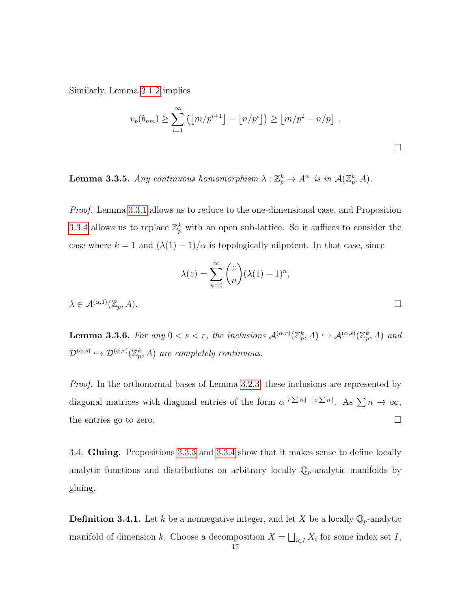Similarly, Lemma [3.1.2](#page-14-0) implies

$$
v_p(b_{nm}) \ge \sum_{i=1}^{\infty} (\lfloor m/p^{i+1} \rfloor - \lfloor n/p^i \rfloor) \ge \lfloor m/p^2 - n/p \rfloor.
$$

<span id="page-23-1"></span>**Lemma 3.3.5.** Any continuous homomorphism  $\lambda : \mathbb{Z}_p^k \to A^\times$  is in  $\mathcal{A}(\mathbb{Z}_p^k, A)$ .

Proof. Lemma [3.3.1](#page-18-1) allows us to reduce to the one-dimensional case, and Proposition [3.3.4](#page-21-0) allows us to replace  $\mathbb{Z}_p^k$  with an open sub-lattice. So it suffices to consider the case where  $k = 1$  and  $(\lambda(1) - 1)/\alpha$  is topologically nilpotent. In that case, since

$$
\lambda(z) = \sum_{n=0}^{\infty} \binom{z}{n} (\lambda(1) - 1)^n,
$$
  

$$
\lambda \in \mathcal{A}^{(\alpha,1)}(\mathbb{Z}_p, A).
$$

<span id="page-23-2"></span>**Lemma 3.3.6.** For any  $0 < s < r$ , the inclusions  $\mathcal{A}^{(\alpha,r)}(\mathbb{Z}_p^k, A) \hookrightarrow \mathcal{A}^{(\alpha,s)}(\mathbb{Z}_p^k, A)$  and  $\mathcal{D}^{(\alpha,s)} \hookrightarrow \mathcal{D}^{(\alpha,r)}(\mathbb{Z}_p^k,A)$  are completely continuous.

Proof. In the orthonormal bases of Lemma [3.2.3,](#page-17-0) these inclusions are represented by diagonal matrices with diagonal entries of the form  $\alpha^{[r\sum n]-[s\sum n]}$ . As  $\sum n \to \infty$ , the entries go to zero.

<span id="page-23-0"></span>3.4. Gluing. Propositions [3.3.3](#page-20-0) and [3.3.4](#page-21-0) show that it makes sense to define locally analytic functions and distributions on arbitrary locally  $\mathbb{Q}_p$ -analytic manifolds by gluing.

**Definition 3.4.1.** Let k be a nonnegative integer, and let X be a locally  $\mathbb{Q}_p$ -analytic manifold of dimension k. Choose a decomposition  $X = \bigsqcup_{i \in I} X_i$  for some index set I,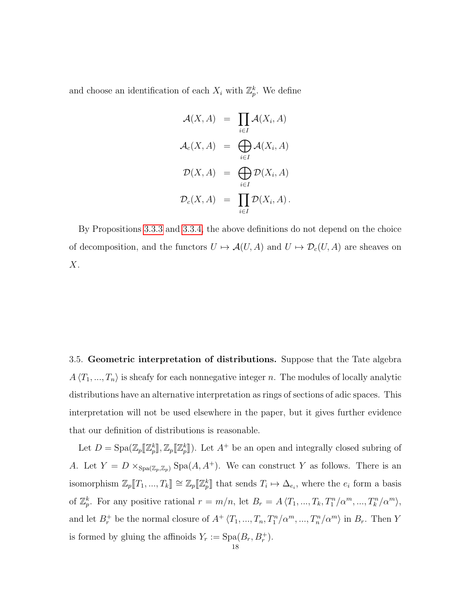and choose an identification of each  $X_i$  with  $\mathbb{Z}_p^k$ . We define

$$
\mathcal{A}(X, A) = \prod_{i \in I} \mathcal{A}(X_i, A)
$$

$$
\mathcal{A}_c(X, A) = \bigoplus_{i \in I} \mathcal{A}(X_i, A)
$$

$$
\mathcal{D}(X, A) = \bigoplus_{i \in I} \mathcal{D}(X_i, A)
$$

$$
\mathcal{D}_c(X, A) = \prod_{i \in I} \mathcal{D}(X_i, A).
$$

By Propositions [3.3.3](#page-20-0) and [3.3.4,](#page-21-0) the above definitions do not depend on the choice of decomposition, and the functors  $U \mapsto \mathcal{A}(U, A)$  and  $U \mapsto \mathcal{D}_c(U, A)$  are sheaves on  $X$ .

<span id="page-24-0"></span>3.5. Geometric interpretation of distributions. Suppose that the Tate algebra  $A \langle T_1, ..., T_n \rangle$  is sheafy for each nonnegative integer n. The modules of locally analytic distributions have an alternative interpretation as rings of sections of adic spaces. This interpretation will not be used elsewhere in the paper, but it gives further evidence that our definition of distributions is reasonable.

Let  $D = \text{Spa}(\mathbb{Z}_p[[\mathbb{Z}_p^k]], \mathbb{Z}_p[[\mathbb{Z}_p^k]].$  Let  $A^+$  be an open and integrally closed subring of A. Let  $Y = D \times_{Spa(\mathbb{Z}_p,\mathbb{Z}_p)} Spa(A, A^+)$ . We can construct Y as follows. There is an isomorphism  $\mathbb{Z}_p[\![T_1, ..., T_k]\!] \cong \mathbb{Z}_p[\![\mathbb{Z}_p^k]\!]$  that sends  $T_i \mapsto \Delta_{e_i}$ , where the  $e_i$  form a basis of  $\mathbb{Z}_p^k$ . For any positive rational  $r = m/n$ , let  $B_r = A \langle T_1, ..., T_k, T_1^n/\alpha^m, ..., T_k^n/\alpha^m \rangle$ , and let  $B_r^+$  be the normal closure of  $A^+$   $\langle T_1, ..., T_n, T_1^n/\alpha^m, ..., T_n^n/\alpha^m \rangle$  in  $B_r$ . Then Y is formed by gluing the affinoids  $Y_r := \text{Spa}(B_r, B_r^+)$ .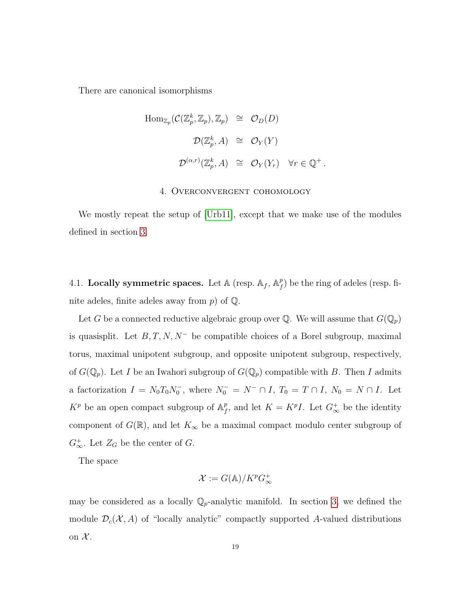There are canonical isomorphisms

$$
\text{Hom}_{\mathbb{Z}_p}(\mathcal{C}(\mathbb{Z}_p^k, \mathbb{Z}_p), \mathbb{Z}_p) \cong \mathcal{O}_D(D)
$$
  

$$
\mathcal{D}(\mathbb{Z}_p^k, A) \cong \mathcal{O}_Y(Y)
$$
  

$$
\mathcal{D}^{(\alpha, r)}(\mathbb{Z}_p^k, A) \cong \mathcal{O}_Y(Y_r) \quad \forall r \in \mathbb{Q}^+.
$$

#### 4. Overconvergent cohomology

<span id="page-25-0"></span>We mostly repeat the setup of [\[Urb11\]](#page-49-5), except that we make use of the modules defined in section [3.](#page-13-0)

<span id="page-25-1"></span>4.1. Locally symmetric spaces. Let  $\mathbb{A}$  (resp.  $\mathbb{A}_f$ ,  $\mathbb{A}_f^p$  $_{f}^{p}$ ) be the ring of adeles (resp. finite adeles, finite adeles away from  $p$ ) of  $\mathbb{Q}$ .

Let G be a connected reductive algebraic group over  $\mathbb Q$ . We will assume that  $G(\mathbb Q_p)$ is quasisplit. Let  $B, T, N, N^-$  be compatible choices of a Borel subgroup, maximal torus, maximal unipotent subgroup, and opposite unipotent subgroup, respectively, of  $G(\mathbb{Q}_p)$ . Let I be an Iwahori subgroup of  $G(\mathbb{Q}_p)$  compatible with B. Then I admits a factorization  $I = N_0 T_0 N_0^-$ , where  $N_0^- = N^- \cap I$ ,  $T_0 = T \cap I$ ,  $N_0 = N \cap I$ . Let  $K^p$  be an open compact subgroup of  $\mathbb{A}_f^p$  $f<sup>p</sup>$ , and let  $K = K<sup>p</sup>I$ . Let  $G_{\infty}^+$  be the identity component of  $G(\mathbb{R})$ , and let  $K_{\infty}$  be a maximal compact modulo center subgroup of  $G_{\infty}^+$ . Let  $Z_G$  be the center of  $G$ .

The space

$$
\mathcal{X} := G(\mathbb{A})/K^p G_{\infty}^+
$$

may be considered as a locally  $\mathbb{Q}_p$ -analytic manifold. In section [3,](#page-13-0) we defined the module  $\mathcal{D}_c(\mathcal{X}, A)$  of "locally analytic" compactly supported A-valued distributions on  $\mathcal{X}$ .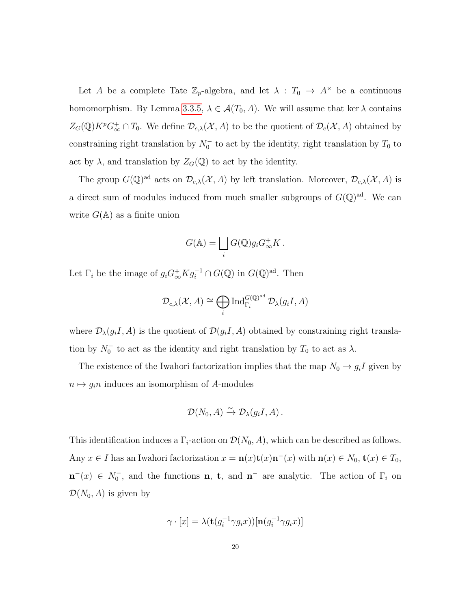Let A be a complete Tate  $\mathbb{Z}_p$ -algebra, and let  $\lambda : T_0 \to A^{\times}$  be a continuous homomorphism. By Lemma [3.3.5,](#page-23-1)  $\lambda \in \mathcal{A}(T_0, A)$ . We will assume that ker  $\lambda$  contains  $Z_G(\mathbb{Q})K^p G_{\infty}^+\cap T_0$ . We define  $\mathcal{D}_{c,\lambda}(\mathcal{X}, A)$  to be the quotient of  $\mathcal{D}_c(\mathcal{X}, A)$  obtained by constraining right translation by  $N_0^-$  to act by the identity, right translation by  $T_0$  to act by  $\lambda$ , and translation by  $Z_G(\mathbb{Q})$  to act by the identity.

The group  $G(\mathbb{Q})^{\text{ad}}$  acts on  $\mathcal{D}_{c,\lambda}(\mathcal{X},A)$  by left translation. Moreover,  $\mathcal{D}_{c,\lambda}(\mathcal{X},A)$  is a direct sum of modules induced from much smaller subgroups of  $G(\mathbb{Q})^{\text{ad}}$ . We can write  $G(A)$  as a finite union

$$
G(\mathbb{A}) = \bigsqcup_i G(\mathbb{Q}) g_i G_{\infty}^+ K.
$$

Let  $\Gamma_i$  be the image of  $g_i G_{\infty}^+ K g_i^{-1} \cap G(\mathbb{Q})$  in  $G(\mathbb{Q})^{\text{ad}}$ . Then

$$
\mathcal{D}_{c,\lambda}(\mathcal{X},A) \cong \bigoplus_i \operatorname{Ind}_{\Gamma_i}^{G(\mathbb{Q})^{\mathrm{ad}}} \mathcal{D}_{\lambda}(g_iI,A)
$$

where  $\mathcal{D}_{\lambda}(g_iI, A)$  is the quotient of  $\mathcal{D}(g_iI, A)$  obtained by constraining right translation by  $N_0^-$  to act as the identity and right translation by  $T_0$  to act as  $\lambda$ .

The existence of the Iwahori factorization implies that the map  $N_0 \rightarrow g_i I$  given by  $n \mapsto g_i n$  induces an isomorphism of A-modules

$$
\mathcal{D}(N_0, A) \xrightarrow{\sim} \mathcal{D}_{\lambda}(g_i I, A) .
$$

This identification induces a  $\Gamma_i$ -action on  $\mathcal{D}(N_0, A)$ , which can be described as follows. Any  $x \in I$  has an Iwahori factorization  $x = \mathbf{n}(x)\mathbf{t}(x)\mathbf{n}^{-}(x)$  with  $\mathbf{n}(x) \in N_0$ ,  $\mathbf{t}(x) \in T_0$ ,  $\mathbf{n}^{-}(x) \in N_0^-$ , and the functions **n**, **t**, and **n**<sup>-</sup> are analytic. The action of  $\Gamma_i$  on  $\mathcal{D}(N_0, A)$  is given by

$$
\gamma \cdot [x] = \lambda(\mathbf{t}(g_i^{-1} \gamma g_i x))[\mathbf{n}(g_i^{-1} \gamma g_i x)]
$$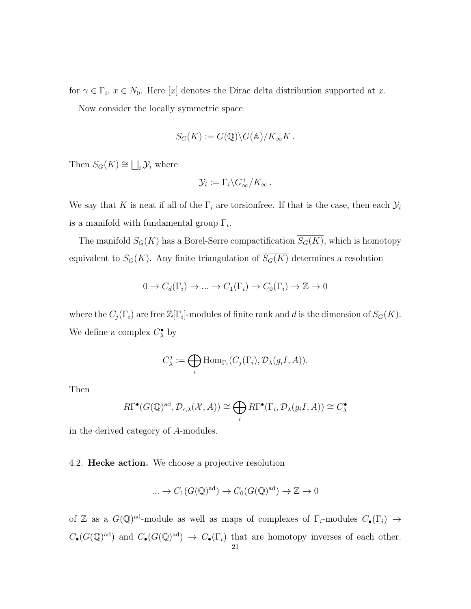for  $\gamma \in \Gamma_i$ ,  $x \in N_0$ . Here [x] denotes the Dirac delta distribution supported at x.

Now consider the locally symmetric space

$$
S_G(K) := G(\mathbb{Q}) \backslash G(\mathbb{A}) / K_{\infty} K.
$$

Then  $S_G(K) \cong \bigsqcup_i \mathcal{Y}_i$  where

$$
\mathcal{Y}_i := \Gamma_i \backslash G_{\infty}^+ / K_{\infty} \, .
$$

We say that K is neat if all of the  $\Gamma_i$  are torsionfree. If that is the case, then each  $\mathcal{Y}_i$ is a manifold with fundamental group  $\Gamma_i$ .

The manifold  $S_G(K)$  has a Borel-Serre compactification  $\overline{S_G(K)}$ , which is homotopy equivalent to  $S_G(K)$ . Any finite triangulation of  $\overline{S_G(K)}$  determines a resolution

$$
0 \to C_d(\Gamma_i) \to \dots \to C_1(\Gamma_i) \to C_0(\Gamma_i) \to \mathbb{Z} \to 0
$$

where the  $C_j(\Gamma_i)$  are free  $\mathbb{Z}[\Gamma_i]$ -modules of finite rank and d is the dimension of  $S_G(K)$ . We define a complex  $C^{\bullet}_{\lambda}$  by

$$
C_{\lambda}^{j} := \bigoplus_{i} \text{Hom}_{\Gamma_{i}}(C_{j}(\Gamma_{i}), \mathcal{D}_{\lambda}(g_{i}I, A)).
$$

Then

$$
R\Gamma^{\bullet}(G(\mathbb{Q})^{\text{ad}}, \mathcal{D}_{c,\lambda}(\mathcal{X}, A)) \cong \bigoplus_{i} R\Gamma^{\bullet}(\Gamma_{i}, \mathcal{D}_{\lambda}(g_{i}I, A)) \cong C_{\lambda}^{\bullet}
$$

in the derived category of A-modules.

<span id="page-27-0"></span>4.2. **Hecke action.** We choose a projective resolution

$$
\dots \to C_1(G(\mathbb{Q})^{\mathrm{ad}}) \to C_0(G(\mathbb{Q})^{\mathrm{ad}}) \to \mathbb{Z} \to 0
$$

of Z as a  $G(\mathbb{Q})^{\text{ad}}$ -module as well as maps of complexes of  $\Gamma_i$ -modules  $C_{\bullet}(\Gamma_i) \rightarrow$  $C_{\bullet}(G(\mathbb{Q})^{\text{ad}})$  and  $C_{\bullet}(G(\mathbb{Q})^{\text{ad}}) \to C_{\bullet}(\Gamma_i)$  that are homotopy inverses of each other.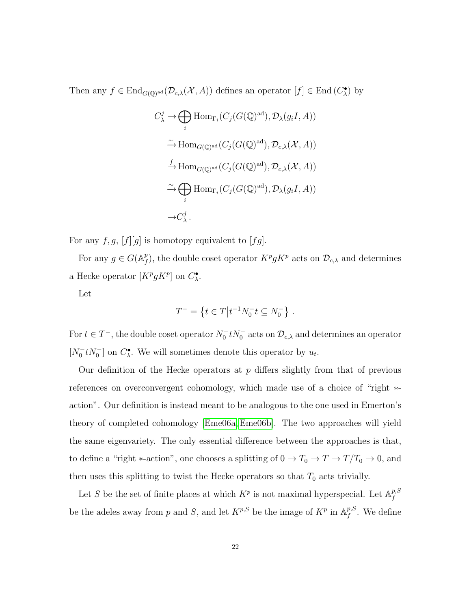Then any  $f \in \text{End}_{G(\mathbb{Q})^{\text{ad}}}(\mathcal{D}_{c,\lambda}(\mathcal{X},A))$  defines an operator  $[f] \in \text{End}(C_{\lambda}^{\bullet})$  by

$$
C^j_{\lambda} \to \bigoplus_i \text{Hom}_{\Gamma_i}(C_j(G(\mathbb{Q})^{\text{ad}}), \mathcal{D}_{\lambda}(g_iI, A))
$$
  
\n
$$
\xrightarrow{\sim} \text{Hom}_{G(\mathbb{Q})^{\text{ad}}}(C_j(G(\mathbb{Q})^{\text{ad}}), \mathcal{D}_{c,\lambda}(\mathcal{X}, A))
$$
  
\n
$$
\xrightarrow{f} \text{Hom}_{G(\mathbb{Q})^{\text{ad}}}(C_j(G(\mathbb{Q})^{\text{ad}}), \mathcal{D}_{c,\lambda}(\mathcal{X}, A))
$$
  
\n
$$
\xrightarrow{i} \bigoplus_i \text{Hom}_{\Gamma_i}(C_j(G(\mathbb{Q})^{\text{ad}}), \mathcal{D}_{\lambda}(g_iI, A))
$$
  
\n
$$
\to C^j_{\lambda}.
$$

For any  $f, g, [f][g]$  is homotopy equivalent to  $[fg]$ .

For any  $g \in G(\mathbb{A}_{\ell}^p)$  $f(r)$ , the double coset operator  $K^p g K^p$  acts on  $\mathcal{D}_{c,\lambda}$  and determines a Hecke operator  $[K^p g K^p]$  on  $C^{\bullet}_{\lambda}$ .

Let

$$
T^- = \left\{ t \in T \middle| t^{-1} N_0^- t \subseteq N_0^- \right\} .
$$

For  $t \in T^-$ , the double coset operator  $N_0^- t N_0^-$  acts on  $\mathcal{D}_{c,\lambda}$  and determines an operator  $[N_0^- t N_0^-]$  on  $C^{\bullet}_{\lambda}$ . We will sometimes denote this operator by  $u_t$ .

Our definition of the Hecke operators at  $p$  differs slightly from that of previous references on overconvergent cohomology, which made use of a choice of "right ∗ action". Our definition is instead meant to be analogous to the one used in Emerton's theory of completed cohomology [\[Eme06a,](#page-49-11) [Eme06b\]](#page-49-7). The two approaches will yield the same eigenvariety. The only essential difference between the approaches is that, to define a "right \*-action", one chooses a splitting of  $0 \to T_0 \to T \to T/T_0 \to 0$ , and then uses this splitting to twist the Hecke operators so that  $T_0$  acts trivially.

Let S be the set of finite places at which  $K^p$  is not maximal hyperspecial. Let  $\mathbb{A}_f^{p,S}$ f be the adeles away from p and S, and let  $K^{p,S}$  be the image of  $K^p$  in  $\mathbb{A}_f^{p,S}$  $_{f}^{p,s}$ . We define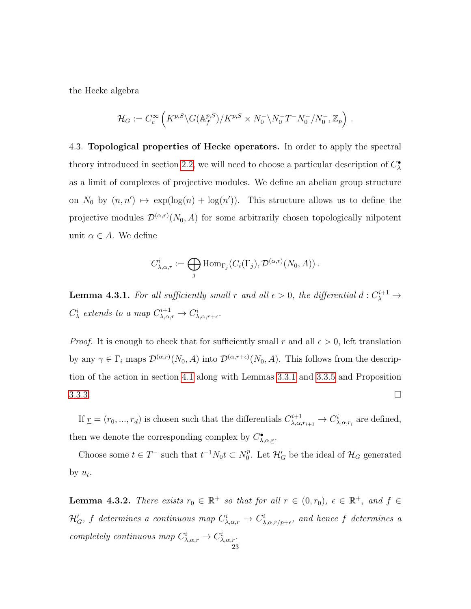the Hecke algebra

$$
\mathcal{H}_G := C_c^{\infty} \left( K^{p,S} \backslash G(\mathbb{A}_f^{p,S})/K^{p,S} \times N_0^- \backslash N_0^- T^- N_0^- / N_0^-, \mathbb{Z}_p \right) .
$$

<span id="page-29-0"></span>4.3. Topological properties of Hecke operators. In order to apply the spectral theory introduced in section [2.2,](#page-11-0) we will need to choose a particular description of  $C^{\bullet}_{\lambda}$ as a limit of complexes of projective modules. We define an abelian group structure on  $N_0$  by  $(n, n') \mapsto \exp(\log(n) + \log(n'))$ . This structure allows us to define the projective modules  $\mathcal{D}^{(\alpha,r)}(N_0, A)$  for some arbitrarily chosen topologically nilpotent unit  $\alpha \in A$ . We define

$$
C^i_{\lambda,\alpha,r} := \bigoplus_j \mathrm{Hom}_{\Gamma_j}(C_i(\Gamma_j), \mathcal{D}^{(\alpha,r)}(N_0, A)).
$$

<span id="page-29-1"></span>**Lemma 4.3.1.** For all sufficiently small r and all  $\epsilon > 0$ , the differential  $d: C_{\lambda}^{i+1} \to$  $C^i_{\lambda}$  extends to a map  $C^{i+1}_{\lambda,\alpha,r} \to C^i_{\lambda,\alpha,r+\epsilon}.$ 

*Proof.* It is enough to check that for sufficiently small r and all  $\epsilon > 0$ , left translation by any  $\gamma \in \Gamma_i$  maps  $\mathcal{D}^{(\alpha,r)}(N_0, A)$  into  $\mathcal{D}^{(\alpha,r+\epsilon)}(N_0, A)$ . This follows from the description of the action in section [4.1](#page-25-1) along with Lemmas [3.3.1](#page-18-1) and [3.3.5](#page-23-1) and Proposition  $3.3.3.$ 

If  $\underline{r} = (r_0, ..., r_d)$  is chosen such that the differentials  $C_{\lambda,\alpha}^{i+1}$  $\chi^{i+1}_{\lambda,\alpha,r_{i+1}} \to C^i_{\lambda,\alpha,r_i}$  are defined, then we denote the corresponding complex by  $C^{\bullet}_{\lambda,\alpha,\underline{r}}$ .

Choose some  $t \in T^-$  such that  $t^{-1}N_0t \subset N_0^p$  $\stackrel{p}{0}$ . Let  $\mathcal{H}'_G$  be the ideal of  $\mathcal{H}_G$  generated by  $u_t$ .

**Lemma 4.3.2.** There exists  $r_0 \in \mathbb{R}^+$  so that for all  $r \in (0, r_0)$ ,  $\epsilon \in \mathbb{R}^+$ , and  $f \in$  $\mathcal{H}'_G$ , f determines a continuous map  $C^i_{\lambda,\alpha,r} \to C^i_{\lambda,\alpha,r/p+\epsilon}$ , and hence f determines a completely continuous map  $C^i_{\lambda,\alpha,r} \to C^i_{\lambda,\alpha,r}$ .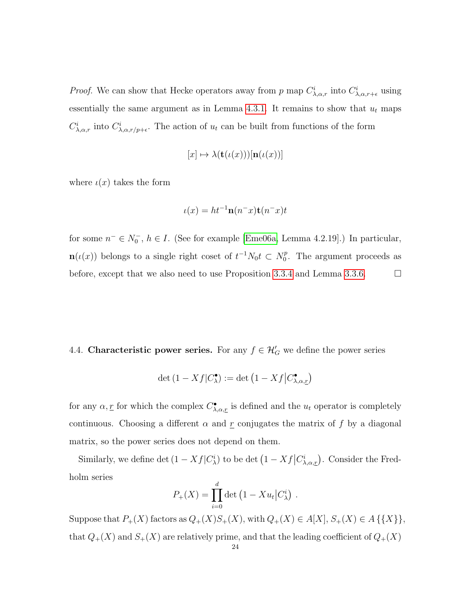*Proof.* We can show that Hecke operators away from p map  $C^i_{\lambda,\alpha,r}$  into  $C^i_{\lambda,\alpha,r+\epsilon}$  using essentially the same argument as in Lemma [4.3.1.](#page-29-1) It remains to show that  $u_t$  maps  $C^i_{\lambda,\alpha,r}$  into  $C^i_{\lambda,\alpha,r/p+\epsilon}$ . The action of  $u_t$  can be built from functions of the form

$$
[x] \mapsto \lambda(\mathbf{t}(\iota(x)))[\mathbf{n}(\iota(x))]
$$

where  $\iota(x)$  takes the form

$$
\iota(x) = ht^{-1}\mathbf{n}(n^-x)\mathbf{t}(n^-x)t
$$

for some  $n^- \in N_0^-$ ,  $h \in I$ . (See for example [\[Eme06a,](#page-49-11) Lemma 4.2.19].) In particular,  $\mathbf{n}(\iota(x))$  belongs to a single right coset of  $t^{-1}N_0t \subset N_0^p$  $_{0}^{p}$ . The argument proceeds as before, except that we also need to use Proposition [3.3.4](#page-21-0) and Lemma [3.3.6.](#page-23-2)  $\Box$ 

<span id="page-30-0"></span>4.4. Characteristic power series. For any  $f \in \mathcal{H}'_G$  we define the power series

$$
\det(1 - Xf|C^{\bullet}_{\lambda}) := \det(1 - Xf|C^{\bullet}_{\lambda,\alpha,\underline{r}})
$$

for any  $\alpha, \underline{r}$  for which the complex  $C^{\bullet}_{\lambda,\alpha,\underline{r}}$  is defined and the  $u_t$  operator is completely continuous. Choosing a different  $\alpha$  and r conjugates the matrix of f by a diagonal matrix, so the power series does not depend on them.

Similarly, we define det  $(1 - Xf|C^i_\lambda)$  to be det  $(1 - Xf|C^i_{\lambda,\alpha,\underline{r}})$ . Consider the Fredholm series

$$
P_{+}(X) = \prod_{i=0}^{d} \det (1 - Xu_{t}|C_{\lambda}^{i}).
$$

Suppose that  $P_+(X)$  factors as  $Q_+(X)S_+(X)$ , with  $Q_+(X) \in A[X]$ ,  $S_+(X) \in A$  {{X}}, that  $Q_+(X)$  and  $S_+(X)$  are relatively prime, and that the leading coefficient of  $Q_+(X)$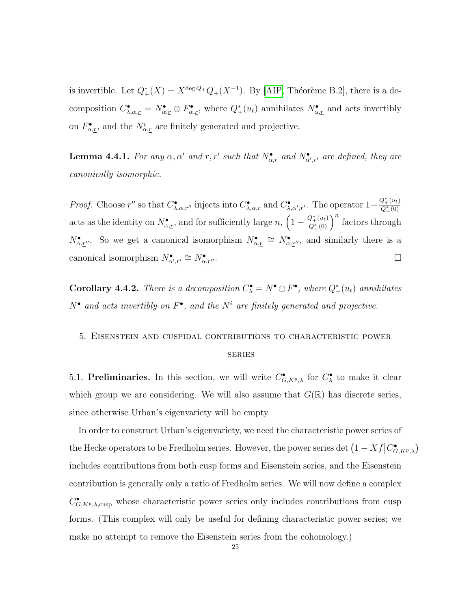is invertible. Let  $Q^*_{+}(X) = X^{\deg Q} Q_{+}(X^{-1})$ . By [\[AIP,](#page-48-6) Théorème B.2], there is a decomposition  $C^{\bullet}_{\lambda,\alpha,\underline{r}} = N^{\bullet}_{\alpha,\underline{r}} \oplus F^{\bullet}_{\alpha,\underline{r}}$ , where  $Q^*_{+}(u_t)$  annihilates  $N^{\bullet}_{\alpha,\underline{r}}$  and acts invertibly on  $F^{\bullet}_{\alpha,\underline{r}}$ , and the  $N^i_{\alpha,\underline{r}}$  are finitely generated and projective.

**Lemma 4.4.1.** For any  $\alpha, \alpha'$  and  $\underline{r}, \underline{r}'$  such that  $N^{\bullet}_{\alpha, \underline{r}}$  and  $N^{\bullet}_{\alpha', \underline{r}'}$  are defined, they are canonically isomorphic.

*Proof.* Choose  $\underline{r}''$  so that  $C^{\bullet}_{\lambda,\alpha,\underline{r}''}$  injects into  $C^{\bullet}_{\lambda,\alpha,\underline{r}}$  and  $C^{\bullet}_{\lambda,\alpha',\underline{r}'}$ . The operator  $1-\frac{Q^*_{+}(u_t)}{Q^*_{+}(0)}$  $\overline{Q^*_+(0)}$ acts as the identity on  $N^{\bullet}_{\alpha,r}$ , and for sufficiently large  $n, (1 - \frac{Q^*_{+}(u_t)}{Q^*_{+}(0)})$  $\frac{Q^*_+(u_t)}{Q^*_+(0)}\bigg)^n$  factors through  $N^{\bullet}_{\alpha,r''}$ . So we get a canonical isomorphism  $N^{\bullet}_{\alpha,r} \cong N^{\bullet}_{\alpha,r''}$ , and similarly there is a canonical isomorphism  $N^{\bullet}_{\alpha',\underline{r}'} \cong N^{\bullet}_{\alpha}$  $\alpha, r''$ .

**Corollary 4.4.2.** There is a decomposition  $C^{\bullet}_{\lambda} = N^{\bullet} \oplus F^{\bullet}$ , where  $Q^*_{+}(u_t)$  annihilates  $N^{\bullet}$  and acts invertibly on  $F^{\bullet}$ , and the  $N^i$  are finitely generated and projective.

# <span id="page-31-0"></span>5. Eisenstein and cuspidal contributions to characteristic power

#### series

<span id="page-31-1"></span>5.1. Preliminaries. In this section, we will write  $C_{G, K^p, \lambda}^{\bullet}$  for  $C_{\lambda}^{\bullet}$  to make it clear which group we are considering. We will also assume that  $G(\mathbb{R})$  has discrete series, since otherwise Urban's eigenvariety will be empty.

In order to construct Urban's eigenvariety, we need the characteristic power series of the Hecke operators to be Fredholm series. However, the power series det  $(1 - Xf|C^{\bullet}_{G,K^p,\lambda})$ includes contributions from both cusp forms and Eisenstein series, and the Eisenstein contribution is generally only a ratio of Fredholm series. We will now define a complex  $C_{G, K^p, \lambda, \text{cusp}}^{\bullet}$  whose characteristic power series only includes contributions from cusp forms. (This complex will only be useful for defining characteristic power series; we make no attempt to remove the Eisenstein series from the cohomology.)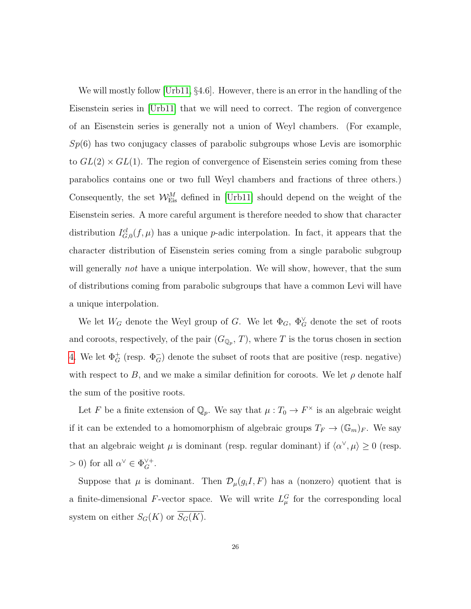We will mostly follow [\[Urb11,](#page-49-5) §4.6]. However, there is an error in the handling of the Eisenstein series in [\[Urb11\]](#page-49-5) that we will need to correct. The region of convergence of an Eisenstein series is generally not a union of Weyl chambers. (For example,  $Sp(6)$  has two conjugacy classes of parabolic subgroups whose Levis are isomorphic to  $GL(2) \times GL(1)$ . The region of convergence of Eisenstein series coming from these parabolics contains one or two full Weyl chambers and fractions of three others.) Consequently, the set  $W_{Eis}^M$  defined in [\[Urb11\]](#page-49-5) should depend on the weight of the Eisenstein series. A more careful argument is therefore needed to show that character distribution  $I_{G,0}^{cl}(f,\mu)$  has a unique p-adic interpolation. In fact, it appears that the character distribution of Eisenstein series coming from a single parabolic subgroup will generally *not* have a unique interpolation. We will show, however, that the sum of distributions coming from parabolic subgroups that have a common Levi will have a unique interpolation.

We let  $W_G$  denote the Weyl group of G. We let  $\Phi_G$ ,  $\Phi_G^{\vee}$  denote the set of roots and coroots, respectively, of the pair  $(G_{\mathbb{Q}_p}, T)$ , where T is the torus chosen in section [4.](#page-25-0) We let  $\Phi_G^+$  (resp.  $\Phi_G^-$ ) denote the subset of roots that are positive (resp. negative) with respect to B, and we make a similar definition for coroots. We let  $\rho$  denote half the sum of the positive roots.

Let F be a finite extension of  $\mathbb{Q}_p$ . We say that  $\mu: T_0 \to F^\times$  is an algebraic weight if it can be extended to a homomorphism of algebraic groups  $T_F \to (\mathbb{G}_m)_F$ . We say that an algebraic weight  $\mu$  is dominant (resp. regular dominant) if  $\langle \alpha^{\vee}, \mu \rangle \ge 0$  (resp.  $> 0$ ) for all  $\alpha^{\vee} \in \Phi_G^{\vee +}$ .

Suppose that  $\mu$  is dominant. Then  $\mathcal{D}_{\mu}(g_iI, F)$  has a (nonzero) quotient that is a finite-dimensional F-vector space. We will write  $L^G_\mu$  for the corresponding local system on either  $S_G(K)$  or  $\overline{S_G(K)}$ .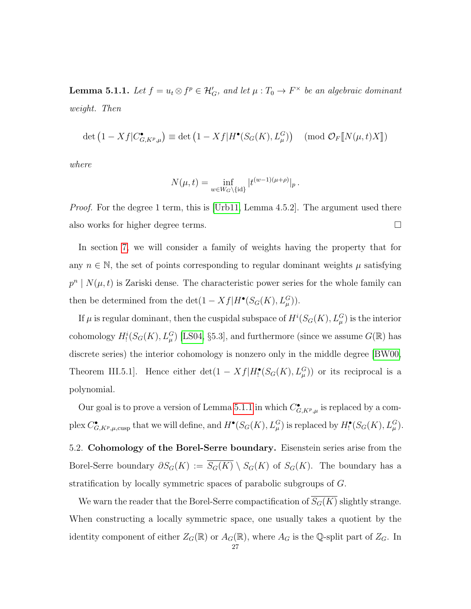<span id="page-33-1"></span>**Lemma 5.1.1.** Let  $f = u_t \otimes f^p \in \mathcal{H}'_G$ , and let  $\mu : T_0 \to F^\times$  be an algebraic dominant weight. Then

$$
\det (1 - Xf|C_{G,K^p,\mu}^{\bullet}) \equiv \det (1 - Xf|H^{\bullet}(S_G(K), L^G_{\mu})) \pmod{\mathcal{O}_F[\![N(\mu, t)X]\!]}
$$

where

$$
N(\mu, t) = \inf_{w \in W_G \setminus {\text{id}} } |t^{(w-1)(\mu+\rho)}|_p.
$$

Proof. For the degree 1 term, this is [\[Urb11,](#page-49-5) Lemma 4.5.2]. The argument used there also works for higher degree terms.

In section [7,](#page-44-0) we will consider a family of weights having the property that for any  $n \in \mathbb{N}$ , the set of points corresponding to regular dominant weights  $\mu$  satisfying  $p^{n}$  |  $N(\mu, t)$  is Zariski dense. The characteristic power series for the whole family can then be determined from the  $\det(1 - Xf|H^{\bullet}(S_G(K), L^G_{\mu})).$ 

If  $\mu$  is regular dominant, then the cuspidal subspace of  $H^{i}(S_G(K), L^G_\mu)$  is the interior cohomology  $H_!^i(S_G(K), L_\mu^G)$  [\[LS04,](#page-49-12) §5.3], and furthermore (since we assume  $G(\mathbb{R})$  has discrete series) the interior cohomology is nonzero only in the middle degree [\[BW00,](#page-48-10) Theorem III.5.1]. Hence either  $\det(1 - Xf|H_!^{\bullet}(S_G(K), L_{\mu}^G))$  or its reciprocal is a polynomial.

Our goal is to prove a version of Lemma [5.1.1](#page-33-1) in which  $C_{G,K^p,\mu}^{\bullet}$  is replaced by a complex  $C_{G,K^p,\mu,\text{cusp}}^{\bullet}$  that we will define, and  $H^{\bullet}(S_G(K), L^G_{\mu})$  is replaced by  $H^{\bullet}_!(S_G(K), L^G_{\mu})$ .

<span id="page-33-0"></span>5.2. Cohomology of the Borel-Serre boundary. Eisenstein series arise from the Borel-Serre boundary  $\partial S_G(K) := \overline{S_G(K)} \setminus S_G(K)$  of  $S_G(K)$ . The boundary has a stratification by locally symmetric spaces of parabolic subgroups of G.

We warn the reader that the Borel-Serre compactification of  $S_G(K)$  slightly strange. When constructing a locally symmetric space, one usually takes a quotient by the identity component of either  $Z_G(\mathbb{R})$  or  $A_G(\mathbb{R})$ , where  $A_G$  is the Q-split part of  $Z_G$ . In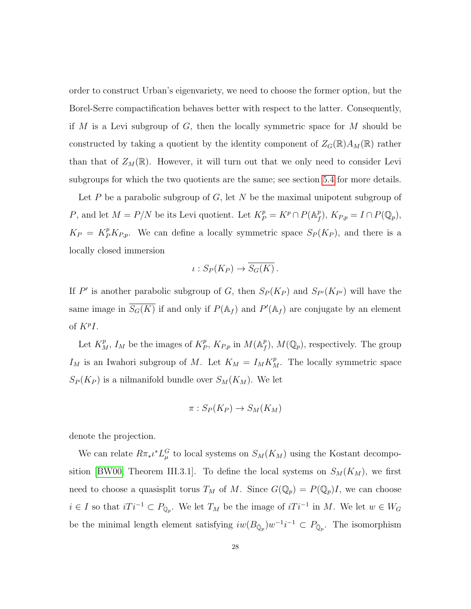order to construct Urban's eigenvariety, we need to choose the former option, but the Borel-Serre compactification behaves better with respect to the latter. Consequently, if  $M$  is a Levi subgroup of  $G$ , then the locally symmetric space for  $M$  should be constructed by taking a quotient by the identity component of  $Z_G(\mathbb{R})A_M(\mathbb{R})$  rather than that of  $Z_M(\mathbb{R})$ . However, it will turn out that we only need to consider Levi subgroups for which the two quotients are the same; see section [5.4](#page-36-0) for more details.

Let P be a parabolic subgroup of G, let N be the maximal unipotent subgroup of P, and let  $M = P/N$  be its Levi quotient. Let  $K_P^p = K^p \cap P(\mathbb{A}_f^p)$  $f(p)$ ,  $K_{P,p} = I \cap P(\mathbb{Q}_p)$ ,  $K_P = K_P^p K_{P,p}.$  We can define a locally symmetric space  $S_P(K_P)$ , and there is a locally closed immersion

$$
\iota: S_P(K_P) \to \overline{S_G(K)}.
$$

If P' is another parabolic subgroup of G, then  $S_P(K_P)$  and  $S_{P'}(K_{P'})$  will have the same image in  $\overline{S_G(K)}$  if and only if  $P(\mathbb{A}_f)$  and  $P'(\mathbb{A}_f)$  are conjugate by an element of  $K^pI$ .

Let  $K_M^p$ ,  $I_M$  be the images of  $K_F^p$  $_{P}^{p}$ ,  $K_{P,p}$  in  $M(\mathbb{A}_{f}^{p})$  $f(f)$ ,  $M(\mathbb{Q}_p)$ , respectively. The group  $I_M$  is an Iwahori subgroup of M. Let  $K_M = I_M K_M^p$ . The locally symmetric space  $S_P(K_P)$  is a nilmanifold bundle over  $S_M(K_M)$ . We let

$$
\pi: S_P(K_P) \to S_M(K_M)
$$

denote the projection.

We can relate  $R\pi_{*}\iota^{*}L_{\mu}^{G}$  to local systems on  $S_{M}(K_{M})$  using the Kostant decompo-sition [\[BW00,](#page-48-10) Theorem III.3.1]. To define the local systems on  $S_M(K_M)$ , we first need to choose a quasisplit torus  $T_M$  of M. Since  $G(\mathbb{Q}_p) = P(\mathbb{Q}_p)I$ , we can choose  $i \in I$  so that  $iTi^{-1} \subset P_{\mathbb{Q}_p}$ . We let  $T_M$  be the image of  $iTi^{-1}$  in M. We let  $w \in W_G$ be the minimal length element satisfying  $iw(B_{\bar{\mathbb{Q}}_p})w^{-1}i^{-1} \subset P_{\bar{\mathbb{Q}}_p}$ . The isomorphism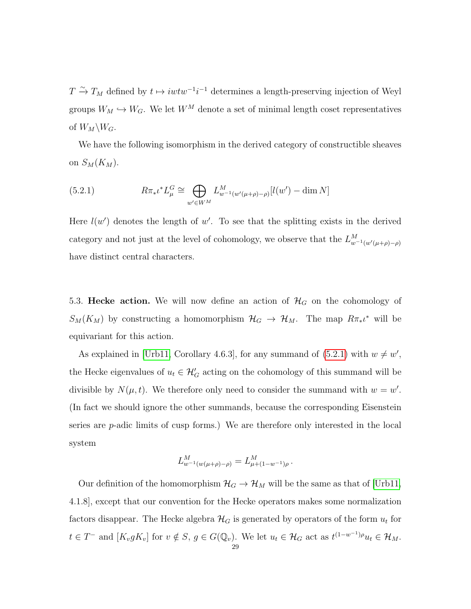$T \stackrel{\sim}{\to} T_M$  defined by  $t \mapsto iwtw^{-1}i^{-1}$  determines a length-preserving injection of Weyl groups  $W_M \hookrightarrow W_G$ . We let  $W^M$  denote a set of minimal length coset representatives of  $W_M\backslash W_G$ .

We have the following isomorphism in the derived category of constructible sheaves on  $S_M(K_M)$ .

<span id="page-35-1"></span>(5.2.1) 
$$
R\pi_* \iota^* L^G_\mu \cong \bigoplus_{w' \in W^M} L^M_{w^{-1}(w'(\mu+\rho)-\rho)}[l(w') - \dim N]
$$

Here  $l(w')$  denotes the length of w'. To see that the splitting exists in the derived category and not just at the level of cohomology, we observe that the  $L_{w^{-1}(w'(\mu+\rho)-\rho)}^M$ have distinct central characters.

<span id="page-35-0"></span>5.3. Hecke action. We will now define an action of  $\mathcal{H}_G$  on the cohomology of  $S_M(K_M)$  by constructing a homomorphism  $\mathcal{H}_G \to \mathcal{H}_M$ . The map  $R\pi_*\iota^*$  will be equivariant for this action.

As explained in [\[Urb11,](#page-49-5) Corollary 4.6.3], for any summand of  $(5.2.1)$  with  $w \neq w'$ , the Hecke eigenvalues of  $u_t \in \mathcal{H}'_G$  acting on the cohomology of this summand will be divisible by  $N(\mu, t)$ . We therefore only need to consider the summand with  $w = w'$ . (In fact we should ignore the other summands, because the corresponding Eisenstein series are  $p$ -adic limits of cusp forms.) We are therefore only interested in the local system

$$
L^M_{w^{-1}(w(\mu+\rho)-\rho)}=L^M_{\mu+(1-w^{-1})\rho}.
$$

Our definition of the homomorphism  $\mathcal{H}_G \to \mathcal{H}_M$  will be the same as that of [\[Urb11,](#page-49-5) 4.1.8], except that our convention for the Hecke operators makes some normalization factors disappear. The Hecke algebra  $\mathcal{H}_G$  is generated by operators of the form  $u_t$  for  $t \in T^-$  and  $[K_v g K_v]$  for  $v \notin S$ ,  $g \in G(\mathbb{Q}_v)$ . We let  $u_t \in \mathcal{H}_G$  act as  $t^{(1-w^{-1})\rho} u_t \in \mathcal{H}_M$ .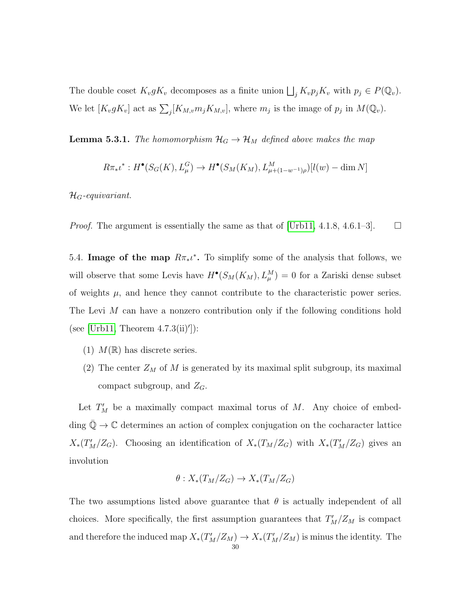The double coset  $K_v g K_v$  decomposes as a finite union  $\bigsqcup_j K_v p_j K_v$  with  $p_j \in P(\mathbb{Q}_v)$ . We let  $[K_v g K_v]$  act as  $\sum_j [K_{M,v} m_j K_{M,v}]$ , where  $m_j$  is the image of  $p_j$  in  $M(\mathbb{Q}_v)$ .

**Lemma 5.3.1.** The homomorphism  $\mathcal{H}_G \to \mathcal{H}_M$  defined above makes the map

$$
R\pi_*\iota^*: H^{\bullet}(S_G(K), L^G_{\mu}) \to H^{\bullet}(S_M(K_M), L^M_{\mu + (1-w^{-1})\rho})[l(w) - \dim N]
$$

 $\mathcal{H}_G$ -equivariant.

*Proof.* The argument is essentially the same as that of [\[Urb11,](#page-49-5) 4.1.8, 4.6.1–3].  $\Box$ 

<span id="page-36-0"></span>5.4. Image of the map  $R\pi_*\iota^*$ . To simplify some of the analysis that follows, we will observe that some Levis have  $H^{\bullet}(S_M(K_M), L^M_{\mu}) = 0$  for a Zariski dense subset of weights  $\mu$ , and hence they cannot contribute to the characteristic power series. The Levi M can have a nonzero contribution only if the following conditions hold (see [\[Urb11,](#page-49-5) Theorem  $4.7.3(ii)$ ]):

- (1)  $M(\mathbb{R})$  has discrete series.
- (2) The center  $Z_M$  of M is generated by its maximal split subgroup, its maximal compact subgroup, and  $Z_G$ .

Let  $T'_{M}$  be a maximally compact maximal torus of M. Any choice of embedding  $\mathbb{Q} \to \mathbb{C}$  determines an action of complex conjugation on the cocharacter lattice  $X_*(T_M'/Z_G)$ . Choosing an identification of  $X_*(T_M/Z_G)$  with  $X_*(T_M'/Z_G)$  gives an involution

$$
\theta: X_*(T_M/Z_G) \to X_*(T_M/Z_G)
$$

The two assumptions listed above guarantee that  $\theta$  is actually independent of all choices. More specifically, the first assumption guarantees that  $T_M'/Z_M$  is compact and therefore the induced map  $X_*(T_M'/Z_M) \to X_*(T_M'/Z_M)$  is minus the identity. The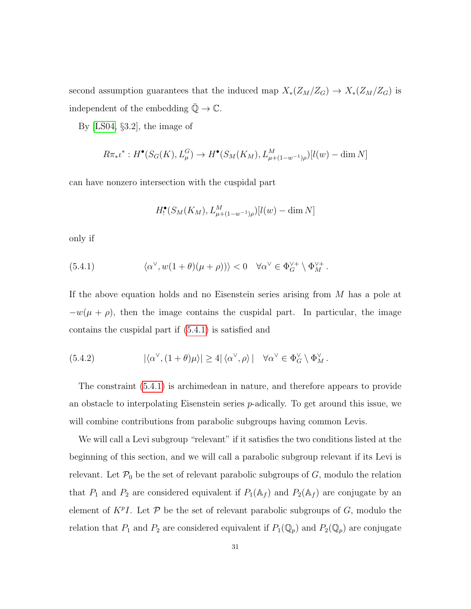second assumption guarantees that the induced map  $X_*(Z_M/Z_G) \to X_*(Z_M/Z_G)$  is independent of the embedding  $\bar{\mathbb{Q}} \to \mathbb{C}$ .

By [\[LS04,](#page-49-12) §3.2], the image of

$$
R\pi_*\iota^*: H^{\bullet}(S_G(K), L^G_{\mu}) \to H^{\bullet}(S_M(K_M), L^M_{\mu+(1-w^{-1})\rho})[l(w) - \dim N]
$$

can have nonzero intersection with the cuspidal part

<span id="page-37-0"></span>
$$
H_!^\bullet(S_M(K_M), L^M_{\mu+(1-w^{-1})\rho})[l(w)-\dim N]
$$

only if

(5.4.1) 
$$
\langle \alpha^{\vee}, w(1+\theta)(\mu+\rho) \rangle \rangle < 0 \quad \forall \alpha^{\vee} \in \Phi_G^{\vee +} \setminus \Phi_M^{\vee +}.
$$

If the above equation holds and no Eisenstein series arising from M has a pole at  $-w(\mu + \rho)$ , then the image contains the cuspidal part. In particular, the image contains the cuspidal part if [\(5.4.1\)](#page-37-0) is satisfied and

<span id="page-37-1"></span>(5.4.2) 
$$
|\langle \alpha^{\vee}, (1+\theta)\mu \rangle| \ge 4 |\langle \alpha^{\vee}, \rho \rangle| \quad \forall \alpha^{\vee} \in \Phi_G^{\vee} \setminus \Phi_M^{\vee}.
$$

The constraint [\(5.4.1\)](#page-37-0) is archimedean in nature, and therefore appears to provide an obstacle to interpolating Eisenstein series p-adically. To get around this issue, we will combine contributions from parabolic subgroups having common Levis.

We will call a Levi subgroup "relevant" if it satisfies the two conditions listed at the beginning of this section, and we will call a parabolic subgroup relevant if its Levi is relevant. Let  $\mathcal{P}_0$  be the set of relevant parabolic subgroups of  $G$ , modulo the relation that  $P_1$  and  $P_2$  are considered equivalent if  $P_1(\mathbb{A}_f)$  and  $P_2(\mathbb{A}_f)$  are conjugate by an element of  $K^pI$ . Let  $\mathcal P$  be the set of relevant parabolic subgroups of  $G$ , modulo the relation that  $P_1$  and  $P_2$  are considered equivalent if  $P_1(\mathbb{Q}_p)$  and  $P_2(\mathbb{Q}_p)$  are conjugate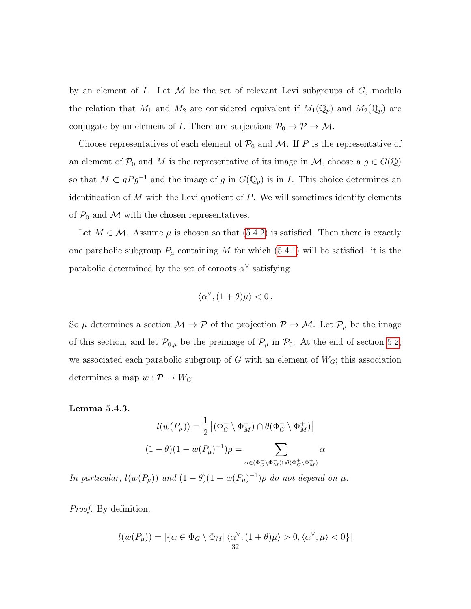by an element of I. Let  $M$  be the set of relevant Levi subgroups of  $G$ , modulo the relation that  $M_1$  and  $M_2$  are considered equivalent if  $M_1(\mathbb{Q}_p)$  and  $M_2(\mathbb{Q}_p)$  are conjugate by an element of I. There are surjections  $\mathcal{P}_0 \to \mathcal{P} \to \mathcal{M}$ .

Choose representatives of each element of  $\mathcal{P}_0$  and M. If P is the representative of an element of  $\mathcal{P}_0$  and M is the representative of its image in M, choose a  $g \in G(\mathbb{Q})$ so that  $M \subset gPg^{-1}$  and the image of g in  $G(\mathbb{Q}_p)$  is in I. This choice determines an identification of  $M$  with the Levi quotient of  $P$ . We will sometimes identify elements of  $P_0$  and M with the chosen representatives.

Let  $M \in \mathcal{M}$ . Assume  $\mu$  is chosen so that [\(5.4.2\)](#page-37-1) is satisfied. Then there is exactly one parabolic subgroup  $P_\mu$  containing M for which [\(5.4.1\)](#page-37-0) will be satisfied: it is the parabolic determined by the set of coroots  $\alpha^{\vee}$  satisfying

$$
\langle \alpha^\vee, (1+\theta)\mu \rangle < 0.
$$

So  $\mu$  determines a section  $\mathcal{M} \to \mathcal{P}$  of the projection  $\mathcal{P} \to \mathcal{M}$ . Let  $\mathcal{P}_{\mu}$  be the image of this section, and let  $\mathcal{P}_{0,\mu}$  be the preimage of  $\mathcal{P}_{\mu}$  in  $\mathcal{P}_{0}$ . At the end of section [5.2,](#page-33-0) we associated each parabolic subgroup of G with an element of  $W_G$ ; this association determines a map  $w: \mathcal{P} \to W_G$ .

<span id="page-38-0"></span>Lemma 5.4.3.

$$
l(w(P_{\mu})) = \frac{1}{2} |(\Phi_G^-\setminus \Phi_M^-) \cap \theta(\Phi_G^+\setminus \Phi_M^+)|
$$

$$
(1 - \theta)(1 - w(P_{\mu})^{-1})\rho = \sum_{\alpha \in (\Phi_G^-\setminus \Phi_M^-) \cap \theta(\Phi_G^+\setminus \Phi_M^+)} \alpha
$$

In particular,  $l(w(P_\mu))$  and  $(1-\theta)(1-w(P_\mu)^{-1})\rho$  do not depend on  $\mu$ .

Proof. By definition,

$$
l(w(P_\mu)) = |\{\alpha \in \Phi_G \setminus \Phi_M | \langle \alpha^\vee, (1+\theta)\mu \rangle > 0, \langle \alpha^\vee, \mu \rangle < 0\}|
$$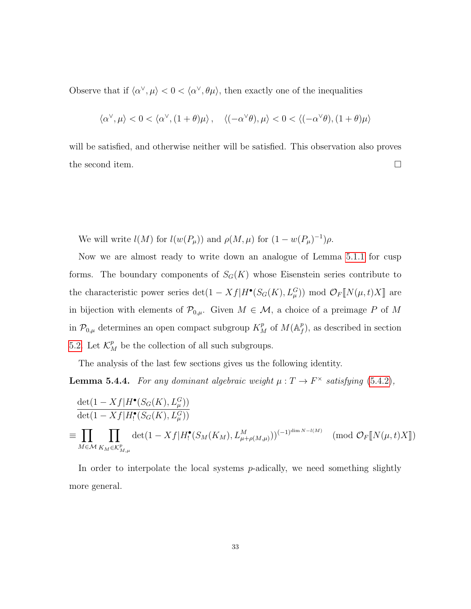Observe that if  $\langle \alpha^{\vee}, \mu \rangle < 0 < \langle \alpha^{\vee}, \theta \mu \rangle$ , then exactly one of the inequalities

$$
\langle \alpha^{\vee}, \mu \rangle < 0 < \langle \alpha^{\vee}, (1+\theta)\mu \rangle \, , \quad \langle (-\alpha^{\vee}\theta), \mu \rangle < 0 < \langle (-\alpha^{\vee}\theta), (1+\theta)\mu \rangle
$$

will be satisfied, and otherwise neither will be satisfied. This observation also proves the second item.  $\Box$ 

We will write  $l(M)$  for  $l(w(P_\mu))$  and  $\rho(M,\mu)$  for  $(1-w(P_\mu)^{-1})\rho$ .

Now we are almost ready to write down an analogue of Lemma [5.1.1](#page-33-1) for cusp forms. The boundary components of  $S_G(K)$  whose Eisenstein series contribute to the characteristic power series  $\det(1 - Xf|H^{\bullet}(S_G(K), L^G_{\mu})) \mod \mathcal{O}_F[\![N(\mu, t)X]\!]$  are in bijection with elements of  $\mathcal{P}_{0,\mu}$ . Given  $M \in \mathcal{M}$ , a choice of a preimage P of M in  $\mathcal{P}_{0,\mu}$  determines an open compact subgroup  $K_M^p$  of  $M(\mathbb{A}_f^p)$  $_{f}^{p}$ ), as described in section [5.2.](#page-33-0) Let  $\mathcal{K}_M^p$  be the collection of all such subgroups.

The analysis of the last few sections gives us the following identity.

**Lemma 5.4.4.** For any dominant algebraic weight  $\mu : T \to F^{\times}$  satisfying [\(5.4.2\)](#page-37-1),

$$
\frac{\det(1 - Xf|H^{\bullet}(S_G(K), L^G_{\mu}))}{\det(1 - Xf|H^{\bullet}_{!}(S_G(K), L^G_{\mu}))}
$$
\n
$$
\equiv \prod_{M \in \mathcal{M}} \prod_{K_M \in \mathcal{K}^p_{M,\mu}} \det(1 - Xf|H^{\bullet}_{!}(S_M(K_M), L^M_{\mu + \rho(M,\mu)}))^{(-1)^{\dim N - l(M)}} \pmod{\mathcal{O}_F[\![N(\mu, t)X]\!]}
$$

In order to interpolate the local systems  $p$ -adically, we need something slightly more general.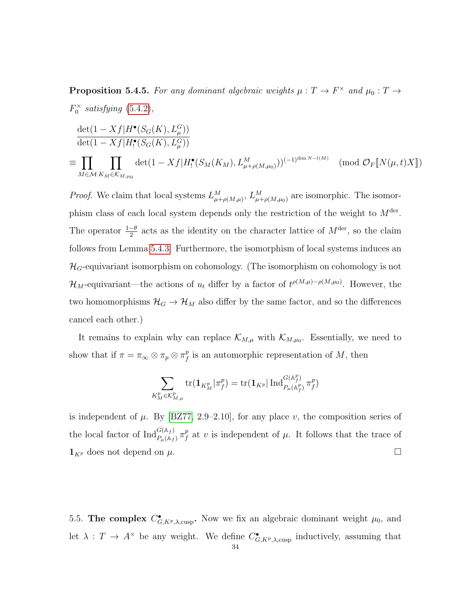<span id="page-40-1"></span>**Proposition 5.4.5.** For any dominant algebraic weights  $\mu : T \to F^{\times}$  and  $\mu_0 : T \to T$  $F_0^{\times}$  satisfying [\(5.4.2\)](#page-37-1),

$$
\frac{\det(1 - Xf|H^{\bullet}(S_G(K), L^G_{\mu}))}{\det(1 - Xf|H^{\bullet}(S_G(K), L^G_{\mu}))}
$$
\n
$$
\equiv \prod_{M \in \mathcal{M}} \prod_{K_M \in \mathcal{K}_{M, \mu_0}} \det(1 - Xf|H^{\bullet}(S_M(K_M), L^M_{\mu + \rho(M, \mu_0)}))^{(-1)^{\dim N - l(M)}} \pmod{\mathcal{O}_F[\![N(\mu, t)X]\!]}
$$

*Proof.* We claim that local systems  $L_{\mu+\rho(M,\mu)}^M$ ,  $L_{\mu+\rho(M,\mu_0)}^M$  are isomorphic. The isomorphism class of each local system depends only the restriction of the weight to  $M<sup>der</sup>$ . The operator  $\frac{1-\theta}{2}$  acts as the identity on the character lattice of  $M^{\text{der}}$ , so the claim follows from Lemma [5.4.3.](#page-38-0) Furthermore, the isomorphism of local systems induces an  $\mathcal{H}_G$ -equivariant isomorphism on cohomology. (The isomorphism on cohomology is not  $\mathcal{H}_M$ -equivariant—the actions of  $u_t$  differ by a factor of  $t^{\rho(M,\mu)-\rho(M,\mu_0)}$ . However, the two homomorphisms  $\mathcal{H}_G \to \mathcal{H}_M$  also differ by the same factor, and so the differences cancel each other.)

It remains to explain why can replace  $\mathcal{K}_{M,\mu}$  with  $\mathcal{K}_{M,\mu_0}$ . Essentially, we need to show that if  $\pi = \pi_{\infty} \otimes \pi_p \otimes \pi_f^p$  $\frac{p}{f}$  is an automorphic representation of M, then

$$
\sum_{K^p_M\in \mathcal{K}^p_{M,\mu}} \text{tr}(\mathbf{1}_{K^p_M}|\pi^p_f) = \text{tr}(\mathbf{1}_{K^p}|\operatorname{Ind}^{G(\mathbb{A}^p_f)}_{P_\mu(\mathbb{A}^p_f)}\pi^p_f)
$$

is independent of  $\mu$ . By [\[BZ77,](#page-48-11) 2.9–2.10], for any place v, the composition series of the local factor of  $\operatorname{Ind}_{P_\mu(\mathbb{A}_f)}^{G(\mathbb{A}_f)} \pi_f^p$  $\int_{f}^{p}$  at v is independent of  $\mu$ . It follows that the trace of  $\mathbf{1}_{K^p}$  does not depend on  $\mu$ .

<span id="page-40-0"></span>5.5. The complex  $C_{G, K^p, \lambda, \text{cusp}}^{\bullet}$ . Now we fix an algebraic dominant weight  $\mu_0$ , and let  $\lambda: T \to A^{\times}$  be any weight. We define  $C_{G, K^{p}, \lambda, \text{cusp}}^{\bullet}$  inductively, assuming that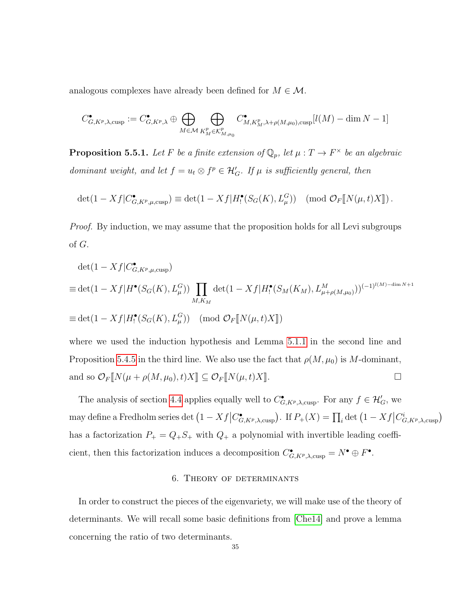analogous complexes have already been defined for  $M \in \mathcal{M}$ .

$$
C_{G,K^p,\lambda,\mathrm{cusp}}^\bullet:=C_{G,K^p,\lambda}^\bullet\oplus\bigoplus_{M\in\mathcal{M}}\bigoplus_{K_M^p\in\mathcal{K}_{M,\mu_0}^p}C_{M,K_M^p,\lambda+\rho(M,\mu_0),\mathrm{cusp}}^\bullet[l(M)-\dim N-1]
$$

<span id="page-41-1"></span>**Proposition 5.5.1.** Let F be a finite extension of  $\mathbb{Q}_p$ , let  $\mu : T \to F^{\times}$  be an algebraic dominant weight, and let  $f = u_t \otimes f^p \in \mathcal{H}'_G$ . If  $\mu$  is sufficiently general, then

$$
\det(1 - Xf|C^{\bullet}_{G, K^p, \mu, \text{cusp}}) \equiv \det(1 - Xf|H_!^{\bullet}(S_G(K), L^G_{\mu})) \pmod{\mathcal{O}_F[\![N(\mu, t)X]\!]}.
$$

*Proof.* By induction, we may assume that the proposition holds for all Levi subgroups of G.

$$
\det(1 - Xf|C_{G,K^p,\mu,\text{cusp}}^{\bullet})
$$
\n
$$
\equiv \det(1 - Xf|H^{\bullet}(S_G(K), L^G_{\mu})) \prod_{M,K_M} \det(1 - Xf|H^{\bullet}(S_M(K_M), L^M_{\mu+\rho(M,\mu_0)}))^{(-1)^{l(M)-\dim N+1}}
$$
\n
$$
\equiv \det(1 - Xf|H^{\bullet}(S_G(K), L^G_{\mu})) \pmod{\mathcal{O}_F[\![N(\mu, t)X]\!]}
$$

where we used the induction hypothesis and Lemma [5.1.1](#page-33-1) in the second line and Proposition [5.4.5](#page-40-1) in the third line. We also use the fact that  $\rho(M, \mu_0)$  is M-dominant, and so  $\mathcal{O}_F[\![N(\mu+\rho(M,\mu_0),t)X]\!] \subseteq \mathcal{O}_F[\![N(\mu,t)X]\!]$ .

The analysis of section [4.4](#page-30-0) applies equally well to  $C_{G, K^p, \lambda, \text{cusp}}^{\bullet}$ . For any  $f \in \mathcal{H}'_G$ , we may define a Fredholm series det  $(1 - Xf|C^{\bullet}_{G,K^p,\lambda,\mathrm{cusp}})$ . If  $P_+(X) = \prod_i \det (1 - Xf|C^i_{G,K^p,\lambda,\mathrm{cusp}})$ has a factorization  $P_+ = Q_+ S_+$  with  $Q_+$  a polynomial with invertible leading coefficient, then this factorization induces a decomposition  $C_{G, K^p, \lambda, \text{cusp}}^{\bullet} = N^{\bullet} \oplus F^{\bullet}$ .

#### 6. Theory of determinants

<span id="page-41-0"></span>In order to construct the pieces of the eigenvariety, we will make use of the theory of determinants. We will recall some basic definitions from [\[Che14\]](#page-48-12) and prove a lemma concerning the ratio of two determinants.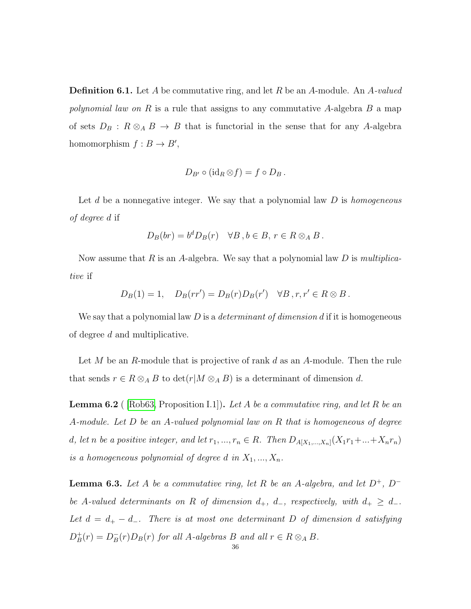**Definition 6.1.** Let A be commutative ring, and let R be an A-module. An A-valued polynomial law on R is a rule that assigns to any commutative A-algebra B a map of sets  $D_B : R \otimes_A B \to B$  that is functorial in the sense that for any A-algebra homomorphism  $f : B \to B'$ ,

$$
D_{B'}\circ (\mathrm{id}_R\otimes f)=f\circ D_B.
$$

Let  $d$  be a nonnegative integer. We say that a polynomial law  $D$  is homogeneous of degree d if

$$
D_B(br) = b^d D_B(r) \quad \forall B, b \in B, r \in R \otimes_A B.
$$

Now assume that R is an A-algebra. We say that a polynomial law D is multiplicative if

$$
D_B(1) = 1, \quad D_B(rr') = D_B(r)D_B(r') \quad \forall B, r, r' \in R \otimes B.
$$

We say that a polynomial law D is a *determinant of dimension d* if it is homogeneous of degree d and multiplicative.

Let M be an R-module that is projective of rank d as an A-module. Then the rule that sends  $r \in R \otimes_A B$  to  $\det(r|M \otimes_A B)$  is a determinant of dimension d.

<span id="page-42-0"></span>**Lemma 6.2** (Rob63, Proposition I.1). Let A be a commutative ring, and let R be an A-module. Let D be an A-valued polynomial law on R that is homogeneous of degree d, let n be a positive integer, and let  $r_1, ..., r_n \in R$ . Then  $D_{A[X_1,...,X_n]}(X_1r_1+...+X_nr_n)$ is a homogeneous polynomial of degree d in  $X_1, ..., X_n$ .

<span id="page-42-1"></span>**Lemma 6.3.** Let A be a commutative ring, let R be an A-algebra, and let  $D^+$ ,  $D^$ be A-valued determinants on R of dimension  $d_+$ ,  $d_-$ , respectively, with  $d_+ \geq d_-$ . Let  $d = d_+ - d_-.$  There is at most one determinant D of dimension d satisfying  $D_R^+$  $_{B}^{+}(r) = D_{B}^{-}$  $\bar{B}(r)D_B(r)$  for all A-algebras B and all  $r \in R \otimes_A B$ .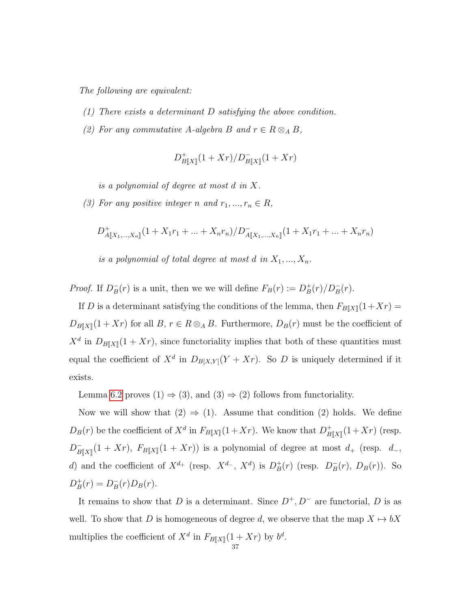The following are equivalent:

- (1) There exists a determinant D satisfying the above condition.
- (2) For any commutative A-algebra B and  $r \in R \otimes_A B$ ,

$$
D_{B[\![X]\!]}^+(1+Xr)/D_{B[\![X]\!]}^-(1+Xr)
$$

is a polynomial of degree at most d in X.

(3) For any positive integer n and  $r_1, ..., r_n \in R$ ,

$$
D_{A[[X_1,...,X_n]]}^+(1+X_1r_1+...+X_nr_n)/D_{A[[X_1,...,X_n]]}^-(1+X_1r_1+...+X_nr_n)
$$

is a polynomial of total degree at most d in  $X_1, ..., X_n$ .

Proof. If  $D_B^ \bar{B}(r)$  is a unit, then we we will define  $F_B(r) := D_B^+$  $\frac{1}{B}(r)/D_B^-(r)$ .

If D is a determinant satisfying the conditions of the lemma, then  $F_{B\|X\|}(1+Xr) =$  $D_{B[\![X]\!]}(1+Xr)$  for all  $B, r \in R \otimes_A B$ . Furthermore,  $D_B(r)$  must be the coefficient of  $X^d$  in  $D_{B[\![X]\!]}(1+Xr)$ , since functoriality implies that both of these quantities must equal the coefficient of  $X^d$  in  $D_{B[X,Y]}(Y+Xr)$ . So D is uniquely determined if it exists.

Lemma [6.2](#page-42-0) proves (1)  $\Rightarrow$  (3), and (3)  $\Rightarrow$  (2) follows from functoriality.

Now we will show that  $(2) \Rightarrow (1)$ . Assume that condition  $(2)$  holds. We define  $D_B(r)$  be the coefficient of  $X^d$  in  $F_{B[\![X]\!]}(1+Xr)$ . We know that  $D_B^+$  $\frac{1}{B[X]}(1+Xr)$  (resp.  $D_R^ \overline{B}_{\llbracket X \rrbracket}(1+Xr)$ ,  $F_{B\llbracket X \rrbracket}(1+Xr)$  is a polynomial of degree at most  $d_+$  (resp.  $d_-$ , d) and the coefficient of  $X^{d_+}$  (resp.  $X^{d_-}$ ,  $X^{d}$ ) is  $D_B^+$  $_B^+(r)$  (resp.  $D_B^ _{B}^{-}(r), D_{B}(r)$ ). So  $D_B^+$  $_{B}^{+}(r) = D_{B}^{-}$  $B_{B}(r)D_{B}(r).$ 

It remains to show that D is a determinant. Since  $D^+, D^-$  are functorial, D is as well. To show that D is homogeneous of degree d, we observe that the map  $X \mapsto bX$ multiplies the coefficient of  $X^d$  in  $F_{B\llbracket X \rrbracket}(1+Xr)$  by  $b^d$ .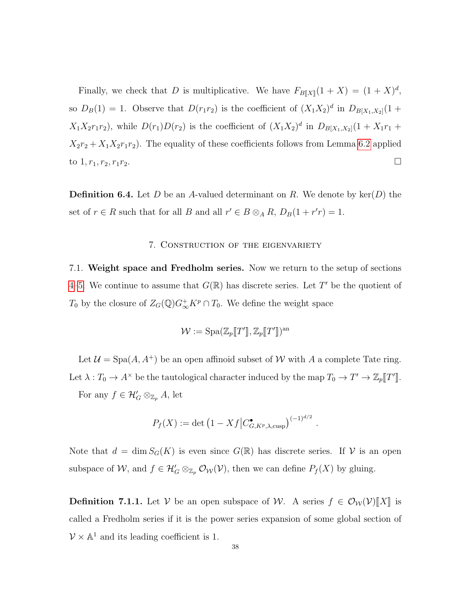Finally, we check that D is multiplicative. We have  $F_{B\llbracket X \rrbracket}(1 + X) = (1 + X)^d$ , so  $D_B(1) = 1$ . Observe that  $D(r_1r_2)$  is the coefficient of  $(X_1X_2)^d$  in  $D_{B[X_1,X_2]}(1 +$  $X_1X_2r_1r_2$ , while  $D(r_1)D(r_2)$  is the coefficient of  $(X_1X_2)^d$  in  $D_{B[X_1,X_2]}(1+X_1r_1+$  $X_2r_2 + X_1X_2r_1r_2$ . The equality of these coefficients follows from Lemma [6.2](#page-42-0) applied to  $1, r_1, r_2, r_1r_2.$ 

**Definition 6.4.** Let D be an A-valued determinant on R. We denote by ker(D) the set of  $r \in R$  such that for all B and all  $r' \in B \otimes_A R$ ,  $D_B(1 + r'r) = 1$ .

#### 7. Construction of the eigenvariety

<span id="page-44-1"></span><span id="page-44-0"></span>7.1. Weight space and Fredholm series. Now we return to the setup of sections [4–](#page-25-0)[5.](#page-31-0) We continue to assume that  $G(\mathbb{R})$  has discrete series. Let T' be the quotient of  $T_0$  by the closure of  $Z_G(\mathbb{Q})G_{\infty}^+K^p \cap T_0$ . We define the weight space

$$
\mathcal{W} := \mathrm{Spa}(\mathbb{Z}_p[\![T']\!], \mathbb{Z}_p[\![T']\!])^{\mathrm{an}}
$$

Let  $\mathcal{U} = \text{Spa}(A, A^+)$  be an open affinoid subset of W with A a complete Tate ring. Let  $\lambda: T_0 \to A^\times$  be the tautological character induced by the map  $T_0 \to T' \to \mathbb{Z}_p[[T']]$ . For any  $f \in \mathcal{H}'_G \otimes_{\mathbb{Z}_p} A$ , let

$$
P_f(X) := \det \left( 1 - Xf \middle| C^{\bullet}_{G, K^p, \lambda, \text{cusp}} \right)^{(-1)^{d/2}}.
$$

Note that  $d = \dim S_G(K)$  is even since  $G(\mathbb{R})$  has discrete series. If V is an open subspace of W, and  $f \in \mathcal{H}'_G \otimes_{\mathbb{Z}_p} \mathcal{O}_{\mathcal{W}}(\mathcal{V})$ , then we can define  $P_f(X)$  by gluing.

**Definition 7.1.1.** Let V be an open subspace of W. A series  $f \in \mathcal{O}_{\mathcal{W}}(\mathcal{V})[[X]]$  is called a Fredholm series if it is the power series expansion of some global section of  $V \times \mathbb{A}^1$  and its leading coefficient is 1.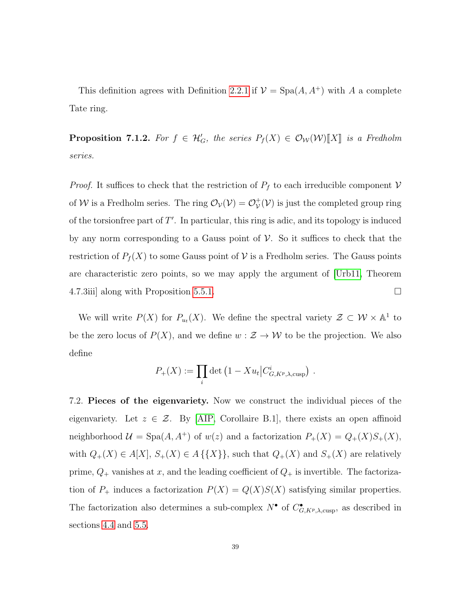This definition agrees with Definition [2.2.1](#page-11-1) if  $\mathcal{V} = \text{Spa}(A, A^+)$  with A a complete Tate ring.

**Proposition 7.1.2.** For  $f \in \mathcal{H}'_G$ , the series  $P_f(X) \in \mathcal{O}_W(\mathcal{W})[[X]]$  is a Fredholm series.

*Proof.* It suffices to check that the restriction of  $P_f$  to each irreducible component  $V$ of W is a Fredholm series. The ring  $\mathcal{O}_{\mathcal{V}}(\mathcal{V}) = \mathcal{O}_{\mathcal{V}}^+$  $v^+_{\mathcal{V}}(\mathcal{V})$  is just the completed group ring of the torsion free part of  $T'$ . In particular, this ring is adic, and its topology is induced by any norm corresponding to a Gauss point of  $\mathcal V$ . So it suffices to check that the restriction of  $P_f(X)$  to some Gauss point of V is a Fredholm series. The Gauss points are characteristic zero points, so we may apply the argument of [\[Urb11,](#page-49-5) Theorem 4.7.3iii] along with Proposition [5.5.1.](#page-41-1)

We will write  $P(X)$  for  $P_{u_t}(X)$ . We define the spectral variety  $\mathcal{Z} \subset \mathcal{W} \times \mathbb{A}^1$  to be the zero locus of  $P(X)$ , and we define  $w : \mathcal{Z} \to \mathcal{W}$  to be the projection. We also define

$$
P_{+}(X) := \prod_{i} \det \left( 1 - X u_{t} \middle| C_{G, K^{p}, \lambda, \text{cusp}}^{i} \right) .
$$

<span id="page-45-0"></span>7.2. Pieces of the eigenvariety. Now we construct the individual pieces of the eigenvariety. Let  $z \in \mathcal{Z}$ . By [\[AIP,](#page-48-6) Corollaire B.1], there exists an open affinoid neighborhood  $\mathcal{U} = \text{Spa}(A, A^+)$  of  $w(z)$  and a factorization  $P_+(X) = Q_+(X)S_+(X)$ , with  $Q_+(X) \in A[X], S_+(X) \in A \{\{X\}\}\$ , such that  $Q_+(X)$  and  $S_+(X)$  are relatively prime,  $Q_+$  vanishes at x, and the leading coefficient of  $Q_+$  is invertible. The factorization of  $P_+$  induces a factorization  $P(X) = Q(X)S(X)$  satisfying similar properties. The factorization also determines a sub-complex  $N^{\bullet}$  of  $C^{\bullet}_{G, K^p, \lambda, \text{cusp}}$ , as described in sections [4.4](#page-30-0) and [5.5.](#page-40-0)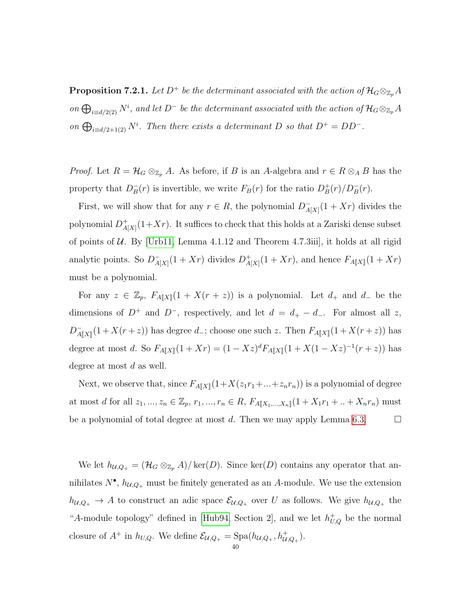**Proposition 7.2.1.** Let D<sup>+</sup> be the determinant associated with the action of  $\mathcal{H}_G \otimes_{\mathbb{Z}_p} A$ on  $\bigoplus_{i\equiv d/2(2)} N^i$ , and let D<sup>-</sup> be the determinant associated with the action of  $\mathcal{H}_G \otimes_{\mathbb{Z}_p} A$ on  $\bigoplus_{i \equiv d/2+1(2)} N^i$ . Then there exists a determinant D so that  $D^+ = DD^-$ .

*Proof.* Let  $R = \mathcal{H}_G \otimes_{\mathbb{Z}_p} A$ . As before, if B is an A-algebra and  $r \in R \otimes_A B$  has the property that  $D_B^ \bar{B}(r)$  is invertible, we write  $F_B(r)$  for the ratio  $D_B^+$  $\frac{1}{B}(r)/D_B^-(r)$ .

First, we will show that for any  $r \in R$ , the polynomial  $D_4^ \bar{A}[X](1+Xr)$  divides the polynomial  $D_{A}^{+}$  $\frac{A}{A[X]}(1+Xr)$ . It suffices to check that this holds at a Zariski dense subset of points of  $U$ . By [\[Urb11,](#page-49-5) Lemma 4.1.12 and Theorem 4.7.3iii], it holds at all rigid analytic points. So  $D_4^ \frac{1}{A[X]}(1+Xr)$  divides  $D_A^+$  $A_{[X]}^+(1+Xr)$ , and hence  $F_{A[\![X]\!]}(1+Xr)$ must be a polynomial.

For any  $z \in \mathbb{Z}_p$ ,  $F_{A[\![X]\!]}(1+X(r+z))$  is a polynomial. Let  $d_+$  and  $d_-$  be the dimensions of  $D^+$  and  $D^-$ , respectively, and let  $d = d_+ - d_-.$  For almost all z,  $D_4^ \overline{A}_{\llbracket X \rrbracket}(1 + X(r + z))$  has degree  $d_{-}$ ; choose one such z. Then  $F_{A\llbracket X \rrbracket}(1 + X(r + z))$  has degree at most d. So  $F_{A[[X]]}(1+Xr) = (1-Xz)^d F_{A[[X]]}(1+X(1-Xz)^{-1}(r+z))$  has degree at most  $d$  as well.

Next, we observe that, since  $F_{A[[X]]}(1+X(z_1r_1+\ldots+z_nr_n))$  is a polynomial of degree at most d for all  $z_1, ..., z_n \in \mathbb{Z}_p$ ,  $r_1, ..., r_n \in R$ ,  $F_{A[\![X_1, ..., X_n]\!]}(1 + X_1r_1 + ... + X_nr_n)$  must be a polynomial of total degree at most d. Then we may apply Lemma [6.3.](#page-42-1)  $\Box$ 

We let  $h_{\mathcal{U},Q_+} = (\mathcal{H}_G \otimes_{\mathbb{Z}_p} A)/\ker(D)$ . Since  $\ker(D)$  contains any operator that annihilates  $N^{\bullet}$ ,  $h_{\mathcal{U},Q_+}$  must be finitely generated as an A-module. We use the extension  $h_{\mathcal{U},Q_+} \to A$  to construct an adic space  $\mathcal{E}_{\mathcal{U},Q_+}$  over U as follows. We give  $h_{\mathcal{U},Q_+}$  the "A-module topology" defined in [\[Hub94,](#page-49-14) Section 2], and we let  $h_{U,Q}^+$  be the normal closure of  $A^+$  in  $h_{U,Q}$ . We define  $\mathcal{E}_{\mathcal{U},Q_+} = \text{Spa}(h_{\mathcal{U},Q_+}, h^+_{\mathcal{U},Q_+}).$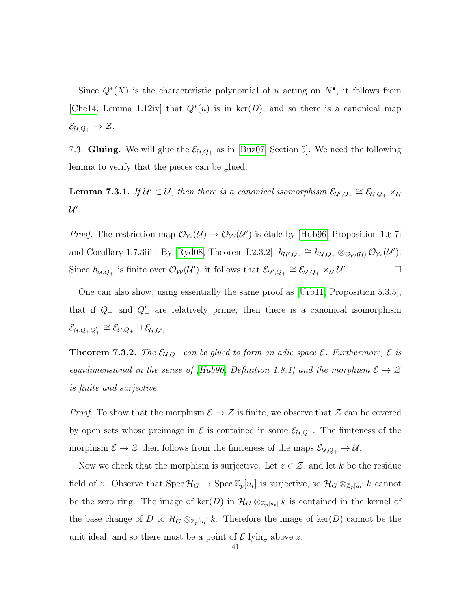Since  $Q^*(X)$  is the characteristic polynomial of u acting on  $N^{\bullet}$ , it follows from [\[Che14,](#page-48-12) Lemma 1.12iv] that  $Q^*(u)$  is in ker(D), and so there is a canonical map  $\mathcal{E}_{\mathcal{U},Q_+}\to\mathcal{Z}.$ 

<span id="page-47-0"></span>7.3. Gluing. We will glue the  $\mathcal{E}_{\mathcal{U},Q_+}$  as in [\[Buz07,](#page-48-7) Section 5]. We need the following lemma to verify that the pieces can be glued.

**Lemma 7.3.1.** If  $\mathcal{U}' \subset \mathcal{U}$ , then there is a canonical isomorphism  $\mathcal{E}_{\mathcal{U}',Q_+} \cong \mathcal{E}_{\mathcal{U},Q_+} \times_{\mathcal{U}}$  $\mathcal{U}'$  .

*Proof.* The restriction map  $\mathcal{O}_{\mathcal{W}}(\mathcal{U}) \to \mathcal{O}_{\mathcal{W}}(\mathcal{U}')$  is étale by [\[Hub96,](#page-49-15) Proposition 1.6.7i and Corollary 1.7.3iii]. By [\[Ryd08,](#page-49-16) Theorem I.2.3.2],  $h_{\mathcal{U}',Q_+} \cong h_{\mathcal{U},Q_+} \otimes_{\mathcal{O}_{\mathcal{W}}(\mathcal{U})} \mathcal{O}_{\mathcal{W}}(\mathcal{U}').$ Since  $h_{\mathcal{U},Q_+}$  is finite over  $\mathcal{O}_{\mathcal{W}}(\mathcal{U}')$ , it follows that  $\mathcal{E}_{\mathcal{U}',Q_+} \cong \mathcal{E}_{\mathcal{U},Q_+} \times_{\mathcal{U}} \mathcal{U}'$ . — П

One can also show, using essentially the same proof as [\[Urb11,](#page-49-5) Proposition 5.3.5], that if  $Q_+$  and  $Q'_+$  are relatively prime, then there is a canonical isomorphism  $\mathcal{E}_{\mathcal{U}, Q_+ Q_+'} \cong \mathcal{E}_{\mathcal{U}, Q_+} \sqcup \mathcal{E}_{\mathcal{U}, Q_+'}.$ 

**Theorem 7.3.2.** The  $\mathcal{E}_{\mathcal{U},Q_+}$  can be glued to form an adic space  $\mathcal{E}$ . Furthermore,  $\mathcal{E}$  is equidimensional in the sense of [\[Hub96,](#page-49-15) Definition 1.8.1] and the morphism  $\mathcal{E} \to \mathcal{Z}$ is finite and surjective.

*Proof.* To show that the morphism  $\mathcal{E} \to \mathcal{Z}$  is finite, we observe that  $\mathcal{Z}$  can be covered by open sets whose preimage in  $\mathcal E$  is contained in some  $\mathcal E_{\mathcal U,Q_+}$ . The finiteness of the morphism  $\mathcal{E} \to \mathcal{Z}$  then follows from the finiteness of the maps  $\mathcal{E}_{\mathcal{U},Q_+} \to \mathcal{U}$ .

Now we check that the morphism is surjective. Let  $z \in \mathcal{Z}$ , and let k be the residue field of z. Observe that  $Spec\ \mathcal{H}_G \to Spec\ \mathbb{Z}_p[u_t]$  is surjective, so  $\mathcal{H}_G \otimes_{\mathbb{Z}_p[u_t]} k$  cannot be the zero ring. The image of ker(D) in  $\mathcal{H}_G \otimes_{\mathbb{Z}_p[u_t]} k$  is contained in the kernel of the base change of D to  $\mathcal{H}_G \otimes_{\mathbb{Z}_p[u_t]} k$ . Therefore the image of ker(D) cannot be the unit ideal, and so there must be a point of  $\mathcal E$  lying above z.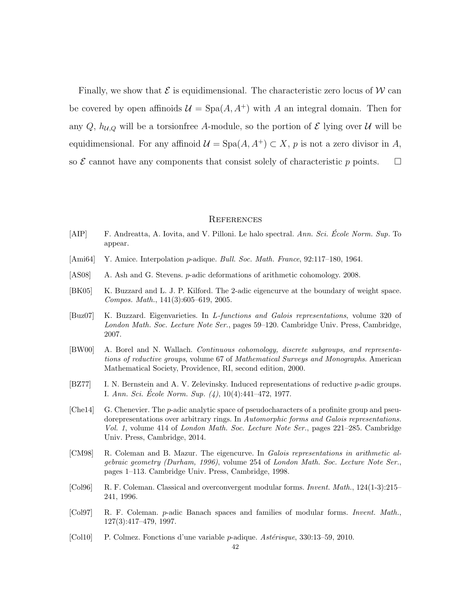Finally, we show that  $\mathcal E$  is equidimensional. The characteristic zero locus of W can be covered by open affinoids  $\mathcal{U} = \text{Spa}(A, A^+)$  with A an integral domain. Then for any Q,  $h_{\mathcal{U},\mathcal{Q}}$  will be a torsion free A-module, so the portion of  $\mathcal E$  lying over  $\mathcal U$  will be equidimensional. For any affinoid  $\mathcal{U} = \text{Spa}(A, A^+) \subset X$ , p is not a zero divisor in A, so  $\mathcal E$  cannot have any components that consist solely of characteristic p points.  $\Box$ 

#### <span id="page-48-0"></span>**REFERENCES**

- <span id="page-48-6"></span>[AIP] F. Andreatta, A. Iovita, and V. Pilloni. Le halo spectral. Ann. Sci. École Norm. Sup. To appear.
- <span id="page-48-8"></span>[Ami64] Y. Amice. Interpolation p-adique. Bull. Soc. Math. France, 92:117–180, 1964.
- <span id="page-48-4"></span>[AS08] A. Ash and G. Stevens. p-adic deformations of arithmetic cohomology. 2008.
- <span id="page-48-5"></span>[BK05] K. Buzzard and L. J. P. Kilford. The 2-adic eigencurve at the boundary of weight space. Compos. Math., 141(3):605–619, 2005.
- <span id="page-48-7"></span>[Buz07] K. Buzzard. Eigenvarieties. In L-functions and Galois representations, volume 320 of London Math. Soc. Lecture Note Ser., pages 59–120. Cambridge Univ. Press, Cambridge, 2007.
- <span id="page-48-10"></span>[BW00] A. Borel and N. Wallach. Continuous cohomology, discrete subgroups, and representations of reductive groups, volume 67 of Mathematical Surveys and Monographs. American Mathematical Society, Providence, RI, second edition, 2000.
- <span id="page-48-11"></span>[BZ77] I. N. Bernstein and A. V. Zelevinsky. Induced representations of reductive p-adic groups. I. Ann. Sci. École Norm. Sup.  $(4)$ , 10(4):441–472, 1977.
- <span id="page-48-12"></span>[Che<sub>14]</sub> G. Chenevier. The *p*-adic analytic space of pseudocharacters of a profinite group and pseudorepresentations over arbitrary rings. In Automorphic forms and Galois representations. Vol. 1, volume 414 of London Math. Soc. Lecture Note Ser., pages 221–285. Cambridge Univ. Press, Cambridge, 2014.
- <span id="page-48-1"></span>[CM98] R. Coleman and B. Mazur. The eigencurve. In Galois representations in arithmetic algebraic geometry (Durham, 1996), volume 254 of London Math. Soc. Lecture Note Ser., pages 1–113. Cambridge Univ. Press, Cambridge, 1998.
- <span id="page-48-2"></span>[Col96] R. F. Coleman. Classical and overconvergent modular forms. Invent. Math., 124(1-3):215– 241, 1996.
- <span id="page-48-3"></span>[Col97] R. F. Coleman. p-adic Banach spaces and families of modular forms. Invent. Math., 127(3):417–479, 1997.
- <span id="page-48-9"></span>[Col10] P. Colmez. Fonctions d'une variable p-adique. Ast´erisque, 330:13–59, 2010.